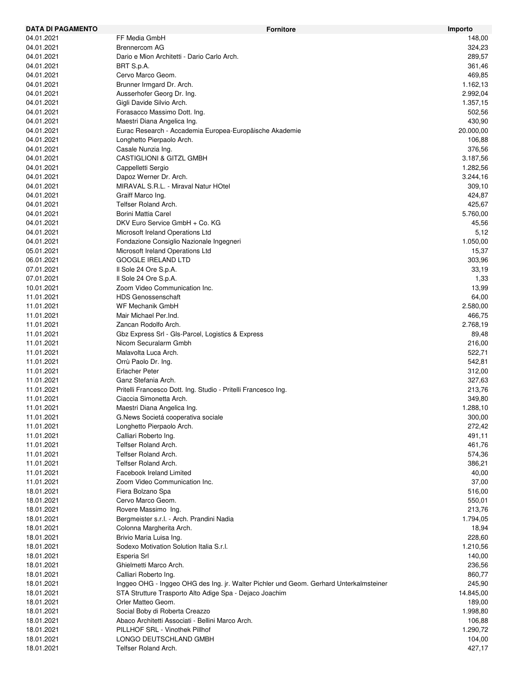| DATA DI PAGAMENTO | <b>Fornitore</b>                                                                       | Importo   |
|-------------------|----------------------------------------------------------------------------------------|-----------|
| 04.01.2021        | FF Media GmbH                                                                          | 148,00    |
| 04.01.2021        | Brennercom AG                                                                          | 324,23    |
| 04.01.2021        | Dario e Mion Architetti - Dario Carlo Arch.                                            | 289,57    |
| 04.01.2021        | BRT S.p.A.                                                                             | 361,46    |
| 04.01.2021        | Cervo Marco Geom.                                                                      | 469,85    |
| 04.01.2021        | Brunner Irmgard Dr. Arch.                                                              | 1.162,13  |
| 04.01.2021        | Ausserhofer Georg Dr. Ing.                                                             | 2.992,04  |
| 04.01.2021        | Gigli Davide Silvio Arch.                                                              | 1.357,15  |
| 04.01.2021        | Forasacco Massimo Dott. Ing.                                                           | 502,56    |
| 04.01.2021        |                                                                                        |           |
|                   | Maestri Diana Angelica Ing.                                                            | 430,90    |
| 04.01.2021        | Eurac Research - Accademia Europea-Europäische Akademie                                | 20.000,00 |
| 04.01.2021        | Longhetto Pierpaolo Arch.                                                              | 106,88    |
| 04.01.2021        | Casale Nunzia Ing.                                                                     | 376,56    |
| 04.01.2021        | <b>CASTIGLIONI &amp; GITZL GMBH</b>                                                    | 3.187,56  |
| 04.01.2021        | Cappelletti Sergio                                                                     | 1.282,56  |
| 04.01.2021        | Dapoz Werner Dr. Arch.                                                                 | 3.244,16  |
| 04.01.2021        | MIRAVAL S.R.L. - Miraval Natur HOtel                                                   | 309,10    |
| 04.01.2021        | Graiff Marco Ing.                                                                      | 424,87    |
| 04.01.2021        | Telfser Roland Arch.                                                                   | 425,67    |
| 04.01.2021        | Borini Mattia Carel                                                                    | 5.760,00  |
| 04.01.2021        | DKV Euro Service GmbH + Co. KG                                                         | 45,56     |
| 04.01.2021        | Microsoft Ireland Operations Ltd                                                       | 5,12      |
| 04.01.2021        | Fondazione Consiglio Nazionale Ingegneri                                               | 1.050,00  |
| 05.01.2021        | Microsoft Ireland Operations Ltd                                                       | 15,37     |
| 06.01.2021        | <b>GOOGLE IRELAND LTD</b>                                                              | 303,96    |
| 07.01.2021        | Il Sole 24 Ore S.p.A.                                                                  | 33,19     |
| 07.01.2021        | Il Sole 24 Ore S.p.A.                                                                  | 1,33      |
| 10.01.2021        | Zoom Video Communication Inc.                                                          | 13,99     |
| 11.01.2021        | <b>HDS Genossenschaft</b>                                                              | 64,00     |
|                   | <b>WF Mechanik GmbH</b>                                                                |           |
| 11.01.2021        |                                                                                        | 2.580,00  |
| 11.01.2021        | Mair Michael Per. Ind.                                                                 | 466,75    |
| 11.01.2021        | Zancan Rodolfo Arch.                                                                   | 2.768,19  |
| 11.01.2021        | Gbz Express Srl - Gls-Parcel, Logistics & Express                                      | 89,48     |
| 11.01.2021        | Nicom Securalarm Gmbh                                                                  | 216,00    |
| 11.01.2021        | Malavolta Luca Arch.                                                                   | 522,71    |
| 11.01.2021        | Orrù Paolo Dr. Ing.                                                                    | 542,81    |
| 11.01.2021        | <b>Erlacher Peter</b>                                                                  | 312,00    |
| 11.01.2021        | Ganz Stefania Arch.                                                                    | 327,63    |
| 11.01.2021        | Pritelli Francesco Dott. Ing. Studio - Pritelli Francesco Ing.                         | 213,76    |
| 11.01.2021        | Ciaccia Simonetta Arch.                                                                | 349,80    |
| 11.01.2021        | Maestri Diana Angelica Ing.                                                            | 1.288,10  |
| 11.01.2021        | G.News Societá cooperativa sociale                                                     | 300,00    |
| 11.01.2021        | Longhetto Pierpaolo Arch.                                                              | 272,42    |
| 11.01.2021        | Calliari Roberto Ing.                                                                  | 491,11    |
| 11.01.2021        | Telfser Roland Arch.                                                                   | 461,76    |
| 11.01.2021        | Telfser Roland Arch.                                                                   | 574,36    |
| 11.01.2021        | Telfser Roland Arch.                                                                   | 386,21    |
| 11.01.2021        | Facebook Ireland Limited                                                               | 40,00     |
| 11.01.2021        | Zoom Video Communication Inc.                                                          | 37,00     |
| 18.01.2021        | Fiera Bolzano Spa                                                                      | 516,00    |
| 18.01.2021        | Cervo Marco Geom.                                                                      | 550,01    |
|                   |                                                                                        |           |
| 18.01.2021        | Rovere Massimo Ing.                                                                    | 213,76    |
| 18.01.2021        | Bergmeister s.r.l. - Arch. Prandini Nadia                                              | 1.794,05  |
| 18.01.2021        | Colonna Margherita Arch.                                                               | 18,94     |
| 18.01.2021        | Brivio Maria Luisa Ing.                                                                | 228,60    |
| 18.01.2021        | Sodexo Motivation Solution Italia S.r.I.                                               | 1.210,56  |
| 18.01.2021        | Esperia Srl                                                                            | 140,00    |
| 18.01.2021        | Ghielmetti Marco Arch.                                                                 | 236,56    |
| 18.01.2021        | Calliari Roberto Ing.                                                                  | 860,77    |
| 18.01.2021        | Inggeo OHG - Inggeo OHG des Ing. jr. Walter Pichler und Geom. Gerhard Unterkalmsteiner | 245,90    |
| 18.01.2021        | STA Strutture Trasporto Alto Adige Spa - Dejaco Joachim                                | 14.845,00 |
| 18.01.2021        | Orler Matteo Geom.                                                                     | 189,00    |
| 18.01.2021        | Social Boby di Roberta Creazzo                                                         | 1.998,80  |
| 18.01.2021        | Abaco Architetti Associati - Bellini Marco Arch.                                       | 106,88    |
| 18.01.2021        | PILLHOF SRL - Vinothek Pillhof                                                         | 1.290,72  |
| 18.01.2021        | LONGO DEUTSCHLAND GMBH                                                                 | 104,00    |
| 18.01.2021        | Telfser Roland Arch.                                                                   | 427,17    |
|                   |                                                                                        |           |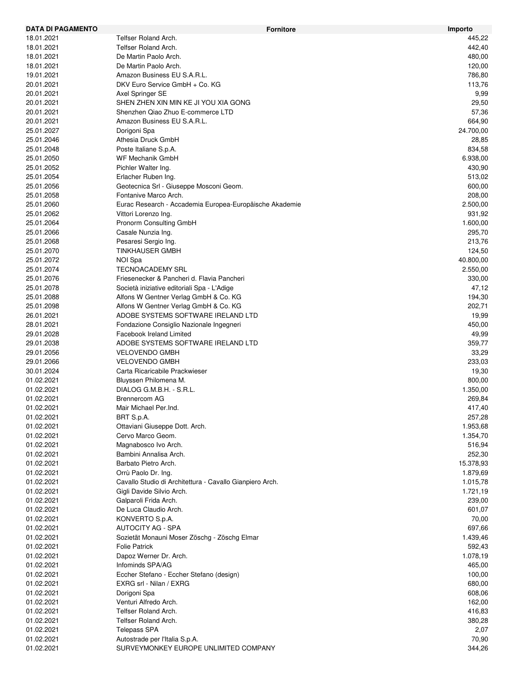| DATA DI PAGAMENTO | <b>Fornitore</b>                                         | Importo   |
|-------------------|----------------------------------------------------------|-----------|
| 18.01.2021        | Telfser Roland Arch.                                     | 445,22    |
| 18.01.2021        | Telfser Roland Arch.                                     | 442,40    |
| 18.01.2021        | De Martin Paolo Arch.                                    | 480,00    |
| 18.01.2021        | De Martin Paolo Arch.                                    | 120,00    |
| 19.01.2021        | Amazon Business EU S.A.R.L.                              | 786,80    |
| 20.01.2021        | DKV Euro Service GmbH + Co. KG                           | 113,76    |
| 20.01.2021        | Axel Springer SE                                         | 9,99      |
| 20.01.2021        | SHEN ZHEN XIN MIN KE JI YOU XIA GONG                     | 29,50     |
| 20.01.2021        | Shenzhen Qiao Zhuo E-commerce LTD                        | 57,36     |
| 20.01.2021        | Amazon Business EU S.A.R.L.                              | 664,90    |
|                   |                                                          |           |
| 25.01.2027        | Dorigoni Spa                                             | 24.700,00 |
| 25.01.2046        | Athesia Druck GmbH                                       | 28,85     |
| 25.01.2048        | Poste Italiane S.p.A.                                    | 834,58    |
| 25.01.2050        | WF Mechanik GmbH                                         | 6.938,00  |
| 25.01.2052        | Pichler Walter Ing.                                      | 430,90    |
| 25.01.2054        | Erlacher Ruben Ing.                                      | 513,02    |
| 25.01.2056        | Geotecnica Srl - Giuseppe Mosconi Geom.                  | 600,00    |
| 25.01.2058        | Fontanive Marco Arch.                                    | 208,00    |
| 25.01.2060        | Eurac Research - Accademia Europea-Europäische Akademie  | 2.500,00  |
| 25.01.2062        | Vittori Lorenzo Ing.                                     | 931,92    |
| 25.01.2064        | Pronorm Consulting GmbH                                  | 1.600,00  |
| 25.01.2066        | Casale Nunzia Ing.                                       | 295,70    |
| 25.01.2068        | Pesaresi Sergio Ing.                                     | 213,76    |
| 25.01.2070        | TINKHAUSER GMBH                                          | 124,50    |
| 25.01.2072        | NOI Spa                                                  | 40.800,00 |
| 25.01.2074        | TECNOACADEMY SRL                                         | 2.550,00  |
| 25.01.2076        | Friesenecker & Pancheri d. Flavia Pancheri               | 330,00    |
| 25.01.2078        | Società iniziative editoriali Spa - L'Adige              | 47,12     |
| 25.01.2088        | Alfons W Gentner Verlag GmbH & Co. KG                    | 194,30    |
| 25.01.2098        | Alfons W Gentner Verlag GmbH & Co. KG                    | 202,71    |
| 26.01.2021        | ADOBE SYSTEMS SOFTWARE IRELAND LTD                       | 19,99     |
| 28.01.2021        | Fondazione Consiglio Nazionale Ingegneri                 | 450,00    |
| 29.01.2028        | <b>Facebook Ireland Limited</b>                          | 49,99     |
| 29.01.2038        | ADOBE SYSTEMS SOFTWARE IRELAND LTD                       | 359,77    |
|                   | <b>VELOVENDO GMBH</b>                                    |           |
| 29.01.2056        |                                                          | 33,29     |
| 29.01.2066        | <b>VELOVENDO GMBH</b>                                    | 233,03    |
| 30.01.2024        | Carta Ricaricabile Prackwieser                           | 19,30     |
| 01.02.2021        | Bluyssen Philomena M.                                    | 800,00    |
| 01.02.2021        | DIALOG G.M.B.H. - S.R.L.                                 | 1.350,00  |
| 01.02.2021        | Brennercom AG                                            | 269,84    |
| 01.02.2021        | Mair Michael Per.Ind.                                    | 417,40    |
| 01.02.2021        | BRT S.p.A.                                               | 257,28    |
| 01.02.2021        | Ottaviani Giuseppe Dott. Arch.                           | 1.953,68  |
| 01.02.2021        | Cervo Marco Geom.                                        | 1.354,70  |
| 01.02.2021        | Magnabosco Ivo Arch.                                     | 516,94    |
| 01.02.2021        | Bambini Annalisa Arch.                                   | 252,30    |
| 01.02.2021        | Barbato Pietro Arch.                                     | 15.378,93 |
| 01.02.2021        | Orrù Paolo Dr. Ing.                                      | 1.879,69  |
| 01.02.2021        | Cavallo Studio di Architettura - Cavallo Gianpiero Arch. | 1.015,78  |
| 01.02.2021        | Gigli Davide Silvio Arch.                                | 1.721,19  |
| 01.02.2021        | Galparoli Frida Arch.                                    | 239,00    |
| 01.02.2021        | De Luca Claudio Arch.                                    | 601,07    |
| 01.02.2021        | KONVERTO S.p.A.                                          | 70,00     |
| 01.02.2021        | <b>AUTOCITY AG - SPA</b>                                 | 697,66    |
| 01.02.2021        | Sozietät Monauni Moser Zöschg - Zöschg Elmar             | 1.439,46  |
| 01.02.2021        | <b>Folie Patrick</b>                                     | 592,43    |
| 01.02.2021        | Dapoz Werner Dr. Arch.                                   | 1.078,19  |
| 01.02.2021        | Infominds SPA/AG                                         | 465,00    |
| 01.02.2021        | Eccher Stefano - Eccher Stefano (design)                 | 100,00    |
| 01.02.2021        | EXRG srl - Nilan / EXRG                                  | 680,00    |
| 01.02.2021        | Dorigoni Spa                                             | 608,06    |
|                   | Venturi Alfredo Arch.                                    |           |
| 01.02.2021        |                                                          | 162,00    |
| 01.02.2021        | Telfser Roland Arch.                                     | 416,83    |
| 01.02.2021        | Telfser Roland Arch.                                     | 380,28    |
| 01.02.2021        | Telepass SPA                                             | 2,07      |
| 01.02.2021        | Autostrade per l'Italia S.p.A.                           | 70,90     |
| 01.02.2021        | SURVEYMONKEY EUROPE UNLIMITED COMPANY                    | 344,26    |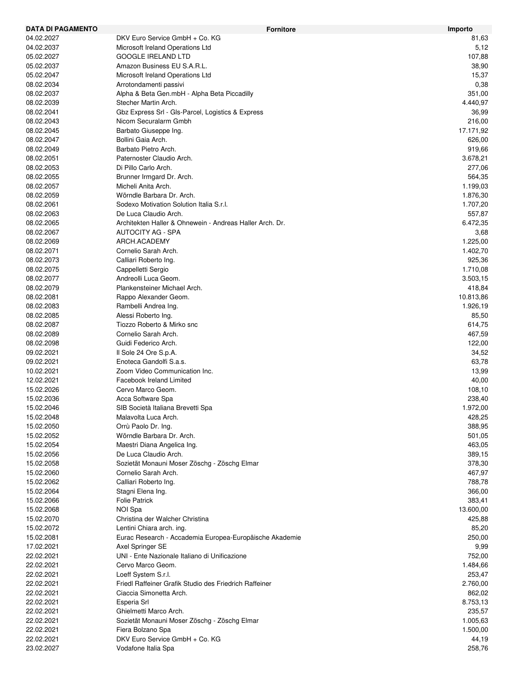| DATA DI PAGAMENTO | <b>Fornitore</b>                                         | Importo   |
|-------------------|----------------------------------------------------------|-----------|
| 04.02.2027        | DKV Euro Service GmbH + Co. KG                           | 81,63     |
| 04.02.2037        | Microsoft Ireland Operations Ltd                         | 5,12      |
| 05.02.2027        | <b>GOOGLE IRELAND LTD</b>                                | 107,88    |
| 05.02.2037        | Amazon Business EU S.A.R.L.                              | 38,90     |
| 05.02.2047        | Microsoft Ireland Operations Ltd                         | 15,37     |
| 08.02.2034        | Arrotondamenti passivi                                   | 0,38      |
| 08.02.2037        | Alpha & Beta Gen.mbH - Alpha Beta Piccadilly             | 351,00    |
| 08.02.2039        | Stecher Martin Arch.                                     | 4.440,97  |
| 08.02.2041        | Gbz Express Srl - Gls-Parcel, Logistics & Express        | 36,99     |
| 08.02.2043        | Nicom Securalarm Gmbh                                    | 216,00    |
| 08.02.2045        | Barbato Giuseppe Ing.                                    | 17.171,92 |
| 08.02.2047        | Bollini Gaia Arch.                                       | 626,00    |
| 08.02.2049        | Barbato Pietro Arch.                                     | 919,66    |
| 08.02.2051        | Paternoster Claudio Arch.                                | 3.678,21  |
| 08.02.2053        | Di Pillo Carlo Arch.                                     | 277,06    |
| 08.02.2055        | Brunner Irmgard Dr. Arch.                                | 564,35    |
| 08.02.2057        | Micheli Anita Arch.                                      | 1.199,03  |
| 08.02.2059        | Wörndle Barbara Dr. Arch.                                | 1.876,30  |
| 08.02.2061        | Sodexo Motivation Solution Italia S.r.l.                 | 1.707,20  |
| 08.02.2063        | De Luca Claudio Arch.                                    | 557,87    |
| 08.02.2065        | Architekten Haller & Ohnewein - Andreas Haller Arch. Dr. | 6.472,35  |
| 08.02.2067        | <b>AUTOCITY AG - SPA</b>                                 | 3,68      |
| 08.02.2069        | ARCH.ACADEMY                                             | 1.225,00  |
| 08.02.2071        | Cornelio Sarah Arch.                                     | 1.402,70  |
| 08.02.2073        | Calliari Roberto Ing.                                    | 925,36    |
| 08.02.2075        | Cappelletti Sergio                                       | 1.710,08  |
| 08.02.2077        | Andreolli Luca Geom.                                     | 3.503,15  |
| 08.02.2079        | Plankensteiner Michael Arch.                             | 418,84    |
| 08.02.2081        | Rappo Alexander Geom.                                    | 10.813,86 |
| 08.02.2083        | Rambelli Andrea Ing.                                     | 1.926,19  |
| 08.02.2085        | Alessi Roberto Ing.                                      | 85,50     |
| 08.02.2087        | Tiozzo Roberto & Mirko snc                               | 614,75    |
| 08.02.2089        | Cornelio Sarah Arch.                                     | 467,59    |
| 08.02.2098        | Guidi Federico Arch.                                     | 122,00    |
| 09.02.2021        | Il Sole 24 Ore S.p.A.                                    | 34,52     |
| 09.02.2021        | Enoteca Gandolfi S.a.s.                                  | 63,78     |
| 10.02.2021        | Zoom Video Communication Inc.                            | 13,99     |
| 12.02.2021        | Facebook Ireland Limited                                 | 40,00     |
| 15.02.2026        | Cervo Marco Geom.                                        | 108,10    |
| 15.02.2036        | Acca Software Spa                                        | 238,40    |
| 15.02.2046        | SIB Società Italiana Brevetti Spa                        | 1.972,00  |
| 15.02.2048        | Malavolta Luca Arch.                                     | 428,25    |
| 15.02.2050        | Orrù Paolo Dr. Ing.                                      | 388,95    |
| 15.02.2052        | Wörndle Barbara Dr. Arch.                                | 501,05    |
| 15.02.2054        | Maestri Diana Angelica Ing.                              | 463,05    |
| 15.02.2056        | De Luca Claudio Arch.                                    | 389,15    |
| 15.02.2058        | Sozietät Monauni Moser Zöschg - Zöschg Elmar             | 378,30    |
| 15.02.2060        | Cornelio Sarah Arch.                                     | 467,97    |
| 15.02.2062        | Calliari Roberto Ing.                                    | 788,78    |
| 15.02.2064        | Stagni Elena Ing.                                        | 366,00    |
| 15.02.2066        | <b>Folie Patrick</b>                                     | 383,41    |
| 15.02.2068        | NOI Spa                                                  | 13.600,00 |
| 15.02.2070        | Christina der Walcher Christina                          | 425,88    |
| 15.02.2072        | Lentini Chiara arch. ing.                                | 85,20     |
| 15.02.2081        | Eurac Research - Accademia Europea-Europäische Akademie  | 250,00    |
| 17.02.2021        | Axel Springer SE                                         | 9,99      |
| 22.02.2021        | UNI - Ente Nazionale Italiano di Unificazione            | 752,00    |
| 22.02.2021        | Cervo Marco Geom.                                        | 1.484,66  |
| 22.02.2021        | Loeff System S.r.l.                                      | 253,47    |
| 22.02.2021        | Friedl Raffeiner Grafik Studio des Friedrich Raffeiner   | 2.760,00  |
| 22.02.2021        | Ciaccia Simonetta Arch.                                  | 862,02    |
| 22.02.2021        | Esperia Srl                                              | 8.753,13  |
| 22.02.2021        | Ghielmetti Marco Arch.                                   | 235,57    |
| 22.02.2021        | Sozietät Monauni Moser Zöschg - Zöschg Elmar             | 1.005,63  |
| 22.02.2021        | Fiera Bolzano Spa                                        | 1.500,00  |
| 22.02.2021        | DKV Euro Service GmbH + Co. KG                           | 44,19     |
| 23.02.2027        | Vodafone Italia Spa                                      | 258,76    |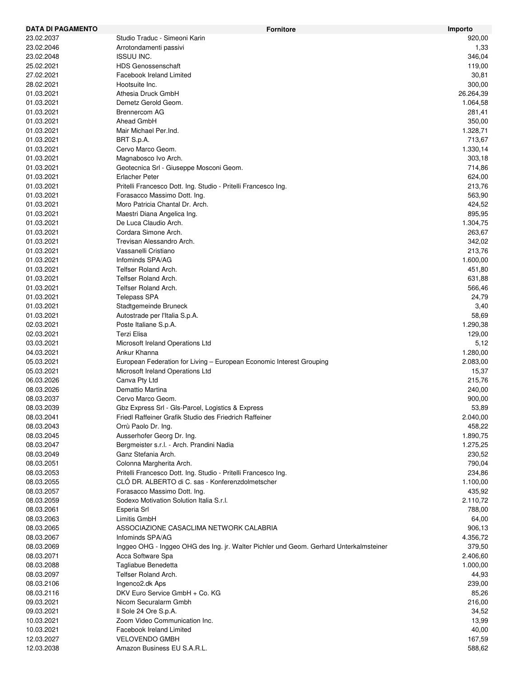| DATA DI PAGAMENTO | <b>Fornitore</b>                                                                       | Importo   |
|-------------------|----------------------------------------------------------------------------------------|-----------|
| 23.02.2037        | Studio Traduc - Simeoni Karin                                                          | 920,00    |
| 23.02.2046        | Arrotondamenti passivi                                                                 | 1,33      |
| 23.02.2048        | <b>ISSUU INC.</b>                                                                      | 346,04    |
| 25.02.2021        | <b>HDS Genossenschaft</b>                                                              | 119,00    |
| 27.02.2021        | <b>Facebook Ireland Limited</b>                                                        | 30,81     |
| 28.02.2021        | Hootsuite Inc.                                                                         | 300,00    |
| 01.03.2021        | Athesia Druck GmbH                                                                     | 26.264,39 |
| 01.03.2021        | Demetz Gerold Geom.                                                                    | 1.064,58  |
|                   |                                                                                        |           |
| 01.03.2021        | Brennercom AG                                                                          | 281,41    |
| 01.03.2021        | Ahead GmbH                                                                             | 350,00    |
| 01.03.2021        | Mair Michael Per.Ind.                                                                  | 1.328,71  |
| 01.03.2021        | BRT S.p.A.                                                                             | 713,67    |
| 01.03.2021        | Cervo Marco Geom.                                                                      | 1.330,14  |
| 01.03.2021        | Magnabosco Ivo Arch.                                                                   | 303,18    |
| 01.03.2021        | Geotecnica Srl - Giuseppe Mosconi Geom.                                                | 714,86    |
| 01.03.2021        | <b>Erlacher Peter</b>                                                                  | 624,00    |
| 01.03.2021        | Pritelli Francesco Dott. Ing. Studio - Pritelli Francesco Ing.                         | 213,76    |
| 01.03.2021        | Forasacco Massimo Dott. Ing.                                                           | 563,90    |
| 01.03.2021        | Moro Patricia Chantal Dr. Arch.                                                        | 424,52    |
| 01.03.2021        | Maestri Diana Angelica Ing.                                                            | 895,95    |
| 01.03.2021        | De Luca Claudio Arch.                                                                  | 1.304,75  |
| 01.03.2021        | Cordara Simone Arch.                                                                   | 263,67    |
| 01.03.2021        | Trevisan Alessandro Arch.                                                              | 342,02    |
| 01.03.2021        | Vassanelli Cristiano                                                                   | 213,76    |
| 01.03.2021        | Infominds SPA/AG                                                                       | 1.600,00  |
| 01.03.2021        | Telfser Roland Arch.                                                                   | 451,80    |
| 01.03.2021        | Telfser Roland Arch.                                                                   | 631,88    |
|                   |                                                                                        |           |
| 01.03.2021        | Telfser Roland Arch.                                                                   | 566,46    |
| 01.03.2021        | <b>Telepass SPA</b>                                                                    | 24,79     |
| 01.03.2021        | Stadtgemeinde Bruneck                                                                  | 3,40      |
| 01.03.2021        | Autostrade per l'Italia S.p.A.                                                         | 58,69     |
| 02.03.2021        | Poste Italiane S.p.A.                                                                  | 1.290,38  |
| 02.03.2021        | Terzi Elisa                                                                            | 129,00    |
| 03.03.2021        | Microsoft Ireland Operations Ltd                                                       | 5,12      |
| 04.03.2021        | Ankur Khanna                                                                           | 1.280,00  |
| 05.03.2021        | European Federation for Living - European Economic Interest Grouping                   | 2.083,00  |
| 05.03.2021        | Microsoft Ireland Operations Ltd                                                       | 15,37     |
| 06.03.2026        | Canva Pty Ltd                                                                          | 215,76    |
| 08.03.2026        | Demattio Martina                                                                       | 240,00    |
| 08.03.2037        | Cervo Marco Geom.                                                                      | 900,00    |
| 08.03.2039        | Gbz Express Srl - Gls-Parcel, Logistics & Express                                      | 53,89     |
| 08.03.2041        | Friedl Raffeiner Grafik Studio des Friedrich Raffeiner                                 | 2.040,00  |
| 08.03.2043        | Orrù Paolo Dr. Ing.                                                                    | 458,22    |
| 08.03.2045        | Ausserhofer Georg Dr. Ing.                                                             | 1.890,75  |
| 08.03.2047        | Bergmeister s.r.l. - Arch. Prandini Nadia                                              | 1.275,25  |
| 08.03.2049        | Ganz Stefania Arch.                                                                    | 230,52    |
|                   |                                                                                        |           |
| 08.03.2051        | Colonna Margherita Arch.                                                               | 790,04    |
| 08.03.2053        | Pritelli Francesco Dott. Ing. Studio - Pritelli Francesco Ing.                         | 234,86    |
| 08.03.2055        | CLO DR. ALBERTO di C. sas - Konferenzdolmetscher                                       | 1.100,00  |
| 08.03.2057        | Forasacco Massimo Dott. Ing.                                                           | 435,92    |
| 08.03.2059        | Sodexo Motivation Solution Italia S.r.I.                                               | 2.110,72  |
| 08.03.2061        | Esperia Srl                                                                            | 788,00    |
| 08.03.2063        | Limitis GmbH                                                                           | 64,00     |
| 08.03.2065        | ASSOCIAZIONE CASACLIMA NETWORK CALABRIA                                                | 906,13    |
| 08.03.2067        | Infominds SPA/AG                                                                       | 4.356,72  |
| 08.03.2069        | Inggeo OHG - Inggeo OHG des Ing. jr. Walter Pichler und Geom. Gerhard Unterkalmsteiner | 379,50    |
| 08.03.2071        | Acca Software Spa                                                                      | 2.406,60  |
| 08.03.2088        | Tagliabue Benedetta                                                                    | 1.000,00  |
| 08.03.2097        | Telfser Roland Arch.                                                                   | 44,93     |
| 08.03.2106        | Ingenco2.dk Aps                                                                        | 239,00    |
| 08.03.2116        | DKV Euro Service GmbH + Co. KG                                                         | 85,26     |
| 09.03.2021        | Nicom Securalarm Gmbh                                                                  | 216,00    |
| 09.03.2021        | Il Sole 24 Ore S.p.A.                                                                  | 34,52     |
| 10.03.2021        | Zoom Video Communication Inc.                                                          | 13,99     |
| 10.03.2021        | Facebook Ireland Limited                                                               | 40,00     |
| 12.03.2027        | <b>VELOVENDO GMBH</b>                                                                  | 167,59    |
| 12.03.2038        | Amazon Business EU S.A.R.L.                                                            | 588,62    |
|                   |                                                                                        |           |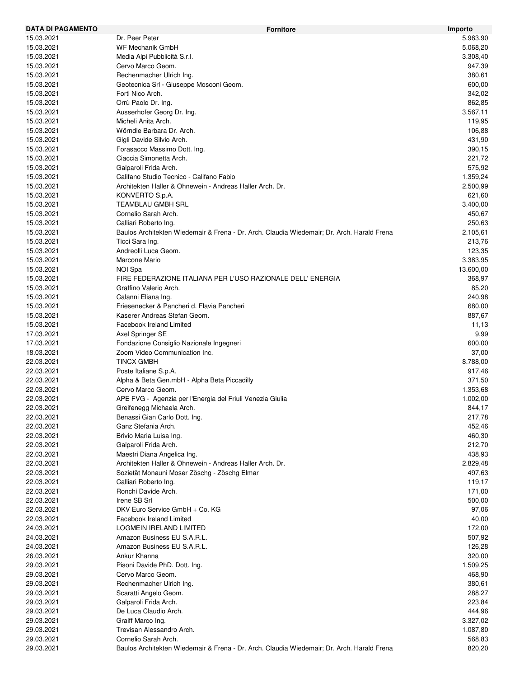| DATA DI PAGAMENTO | <b>Fornitore</b>                                                                           | Importo   |
|-------------------|--------------------------------------------------------------------------------------------|-----------|
| 15.03.2021        | Dr. Peer Peter                                                                             | 5.963,90  |
| 15.03.2021        | WF Mechanik GmbH                                                                           | 5.068,20  |
| 15.03.2021        | Media Alpi Pubblicità S.r.l.                                                               | 3.308,40  |
| 15.03.2021        | Cervo Marco Geom.                                                                          | 947,39    |
| 15.03.2021        | Rechenmacher Ulrich Ing.                                                                   | 380,61    |
| 15.03.2021        | Geotecnica Srl - Giuseppe Mosconi Geom.                                                    | 600,00    |
| 15.03.2021        | Forti Nico Arch.                                                                           | 342,02    |
| 15.03.2021        | Orrù Paolo Dr. Ing.                                                                        | 862,85    |
| 15.03.2021        |                                                                                            | 3.567,11  |
|                   | Ausserhofer Georg Dr. Ing.                                                                 |           |
| 15.03.2021        | Micheli Anita Arch.                                                                        | 119,95    |
| 15.03.2021        | Wörndle Barbara Dr. Arch.                                                                  | 106,88    |
| 15.03.2021        | Gigli Davide Silvio Arch.                                                                  | 431,90    |
| 15.03.2021        | Forasacco Massimo Dott. Ing.                                                               | 390,15    |
| 15.03.2021        | Ciaccia Simonetta Arch.                                                                    | 221,72    |
| 15.03.2021        | Galparoli Frida Arch.                                                                      | 575,92    |
| 15.03.2021        | Califano Studio Tecnico - Califano Fabio                                                   | 1.359,24  |
| 15.03.2021        | Architekten Haller & Ohnewein - Andreas Haller Arch. Dr.                                   | 2.500,99  |
| 15.03.2021        | KONVERTO S.p.A.                                                                            | 621,60    |
| 15.03.2021        | TEAMBLAU GMBH SRL                                                                          | 3.400,00  |
| 15.03.2021        | Cornelio Sarah Arch.                                                                       | 450,67    |
| 15.03.2021        | Calliari Roberto Ing.                                                                      | 250,63    |
| 15.03.2021        | Baulos Architekten Wiedemair & Frena - Dr. Arch. Claudia Wiedemair; Dr. Arch. Harald Frena | 2.105,61  |
| 15.03.2021        | Ticci Sara Ing.                                                                            | 213,76    |
|                   | Andreolli Luca Geom.                                                                       |           |
| 15.03.2021        |                                                                                            | 123,35    |
| 15.03.2021        | Marcone Mario                                                                              | 3.383,95  |
| 15.03.2021        | NOI Spa                                                                                    | 13.600,00 |
| 15.03.2021        | FIRE FEDERAZIONE ITALIANA PER L'USO RAZIONALE DELL' ENERGIA                                | 368,97    |
| 15.03.2021        | Graffino Valerio Arch.                                                                     | 85,20     |
| 15.03.2021        | Calanni Eliana Ing.                                                                        | 240,98    |
| 15.03.2021        | Friesenecker & Pancheri d. Flavia Pancheri                                                 | 680,00    |
| 15.03.2021        | Kaserer Andreas Stefan Geom.                                                               | 887,67    |
| 15.03.2021        | <b>Facebook Ireland Limited</b>                                                            | 11,13     |
| 17.03.2021        | Axel Springer SE                                                                           | 9,99      |
| 17.03.2021        | Fondazione Consiglio Nazionale Ingegneri                                                   | 600,00    |
| 18.03.2021        | Zoom Video Communication Inc.                                                              | 37,00     |
| 22.03.2021        | <b>TINCX GMBH</b>                                                                          | 8.788,00  |
| 22.03.2021        | Poste Italiane S.p.A.                                                                      | 917,46    |
| 22.03.2021        |                                                                                            | 371,50    |
| 22.03.2021        | Alpha & Beta Gen.mbH - Alpha Beta Piccadilly                                               |           |
|                   | Cervo Marco Geom.                                                                          | 1.353,68  |
| 22.03.2021        | APE FVG - Agenzia per l'Energia del Friuli Venezia Giulia                                  | 1.002,00  |
| 22.03.2021        | Greifenegg Michaela Arch.                                                                  | 844,17    |
| 22.03.2021        | Benassi Gian Carlo Dott. Ing.                                                              | 217,78    |
| 22.03.2021        | Ganz Stefania Arch.                                                                        | 452,46    |
| 22.03.2021        | Brivio Maria Luisa Ing.                                                                    | 460,30    |
| 22.03.2021        | Galparoli Frida Arch.                                                                      | 212,70    |
| 22.03.2021        | Maestri Diana Angelica Ing.                                                                | 438,93    |
| 22.03.2021        | Architekten Haller & Ohnewein - Andreas Haller Arch. Dr.                                   | 2.829,48  |
| 22.03.2021        | Sozietät Monauni Moser Zöschg - Zöschg Elmar                                               | 497,63    |
| 22.03.2021        | Calliari Roberto Ing.                                                                      | 119,17    |
| 22.03.2021        | Ronchi Davide Arch.                                                                        | 171,00    |
| 22.03.2021        | Irene SB Srl                                                                               | 500,00    |
|                   | DKV Euro Service GmbH + Co. KG                                                             |           |
| 22.03.2021        |                                                                                            | 97,06     |
| 22.03.2021        | <b>Facebook Ireland Limited</b>                                                            | 40,00     |
| 24.03.2021        | <b>LOGMEIN IRELAND LIMITED</b>                                                             | 172,00    |
| 24.03.2021        | Amazon Business EU S.A.R.L.                                                                | 507,92    |
| 24.03.2021        | Amazon Business EU S.A.R.L.                                                                | 126,28    |
| 26.03.2021        | Ankur Khanna                                                                               | 320,00    |
| 29.03.2021        | Pisoni Davide PhD. Dott. Ing.                                                              | 1.509,25  |
| 29.03.2021        | Cervo Marco Geom.                                                                          | 468,90    |
| 29.03.2021        | Rechenmacher Ulrich Ing.                                                                   | 380,61    |
| 29.03.2021        | Scaratti Angelo Geom.                                                                      | 288,27    |
| 29.03.2021        | Galparoli Frida Arch.                                                                      | 223,84    |
| 29.03.2021        | De Luca Claudio Arch.                                                                      | 444,96    |
| 29.03.2021        | Graiff Marco Ing.                                                                          | 3.327,02  |
| 29.03.2021        | Trevisan Alessandro Arch.                                                                  | 1.087,80  |
|                   |                                                                                            |           |
| 29.03.2021        | Cornelio Sarah Arch.                                                                       | 568,83    |
| 29.03.2021        | Baulos Architekten Wiedemair & Frena - Dr. Arch. Claudia Wiedemair; Dr. Arch. Harald Frena | 820,20    |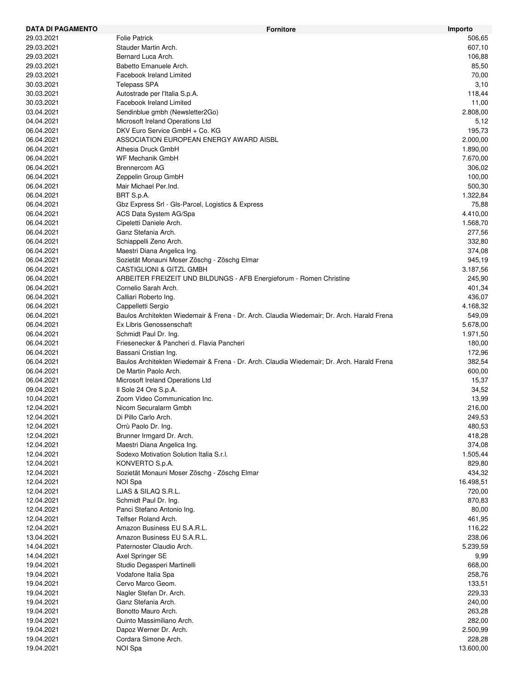| <b>DATA DI PAGAMENTO</b> | <b>Fornitore</b>                                                                           | Importo   |
|--------------------------|--------------------------------------------------------------------------------------------|-----------|
| 29.03.2021               | <b>Folie Patrick</b>                                                                       | 506,65    |
| 29.03.2021               | Stauder Martin Arch.                                                                       | 607,10    |
| 29.03.2021               | Bernard Luca Arch.                                                                         | 106,88    |
| 29.03.2021               | Babetto Emanuele Arch.                                                                     | 85,50     |
| 29.03.2021               | <b>Facebook Ireland Limited</b>                                                            | 70,00     |
| 30.03.2021               | Telepass SPA                                                                               | 3,10      |
| 30.03.2021               | Autostrade per l'Italia S.p.A.                                                             | 118,44    |
| 30.03.2021               | Facebook Ireland Limited                                                                   | 11,00     |
| 03.04.2021               | Sendinblue gmbh (Newsletter2Go)                                                            | 2.808,00  |
| 04.04.2021               | Microsoft Ireland Operations Ltd                                                           | 5,12      |
| 06.04.2021               | DKV Euro Service GmbH + Co. KG                                                             | 195,73    |
|                          | ASSOCIATION EUROPEAN ENERGY AWARD AISBL                                                    |           |
| 06.04.2021               |                                                                                            | 2.000,00  |
| 06.04.2021               | Athesia Druck GmbH                                                                         | 1.890,00  |
| 06.04.2021               | WF Mechanik GmbH                                                                           | 7.670,00  |
| 06.04.2021               | Brennercom AG                                                                              | 306,02    |
| 06.04.2021               | Zeppelin Group GmbH                                                                        | 100,00    |
| 06.04.2021               | Mair Michael Per.Ind.                                                                      | 500,30    |
| 06.04.2021               | BRT S.p.A.                                                                                 | 1.322,84  |
| 06.04.2021               | Gbz Express Srl - Gls-Parcel, Logistics & Express                                          | 75,88     |
| 06.04.2021               | ACS Data System AG/Spa                                                                     | 4.410,00  |
| 06.04.2021               | Cipeletti Daniele Arch.                                                                    | 1.568,70  |
| 06.04.2021               | Ganz Stefania Arch.                                                                        | 277,56    |
| 06.04.2021               | Schiappelli Zeno Arch.                                                                     | 332,80    |
| 06.04.2021               | Maestri Diana Angelica Ing.                                                                | 374,08    |
| 06.04.2021               | Sozietät Monauni Moser Zöschg - Zöschg Elmar                                               | 945,19    |
| 06.04.2021               | <b>CASTIGLIONI &amp; GITZL GMBH</b>                                                        | 3.187,56  |
| 06.04.2021               | ARBEITER FREIZEIT UND BILDUNGS - AFB Energieforum - Romen Christine                        | 245,90    |
| 06.04.2021               | Cornelio Sarah Arch.                                                                       | 401,34    |
| 06.04.2021               | Calliari Roberto Ing.                                                                      | 436,07    |
| 06.04.2021               | Cappelletti Sergio                                                                         | 4.168,32  |
| 06.04.2021               | Baulos Architekten Wiedemair & Frena - Dr. Arch. Claudia Wiedemair; Dr. Arch. Harald Frena | 549,09    |
| 06.04.2021               | Ex Libris Genossenschaft                                                                   | 5.678,00  |
| 06.04.2021               | Schmidt Paul Dr. Ing.                                                                      | 1.971,50  |
| 06.04.2021               | Friesenecker & Pancheri d. Flavia Pancheri                                                 | 180,00    |
| 06.04.2021               | Bassani Cristian Ing.                                                                      | 172,96    |
| 06.04.2021               | Baulos Architekten Wiedemair & Frena - Dr. Arch. Claudia Wiedemair; Dr. Arch. Harald Frena | 382,54    |
| 06.04.2021               | De Martin Paolo Arch.                                                                      | 600,00    |
| 06.04.2021               |                                                                                            |           |
|                          | Microsoft Ireland Operations Ltd                                                           | 15,37     |
| 09.04.2021               | Il Sole 24 Ore S.p.A.                                                                      | 34,52     |
| 10.04.2021               | Zoom Video Communication Inc.                                                              | 13,99     |
| 12.04.2021               | Nicom Securalarm Gmbh                                                                      | 216,00    |
| 12.04.2021               | Di Pillo Carlo Arch.                                                                       | 249,53    |
| 12.04.2021               | Orrù Paolo Dr. Ing.                                                                        | 480,53    |
| 12.04.2021               | Brunner Irmgard Dr. Arch.                                                                  | 418,28    |
| 12.04.2021               | Maestri Diana Angelica Ing.                                                                | 374,08    |
| 12.04.2021               | Sodexo Motivation Solution Italia S.r.I.                                                   | 1.505,44  |
| 12.04.2021               | KONVERTO S.p.A.                                                                            | 829,80    |
| 12.04.2021               | Sozietät Monauni Moser Zöschg - Zöschg Elmar                                               | 434,32    |
| 12.04.2021               | NOI Spa                                                                                    | 16.498,51 |
| 12.04.2021               | LJAS & SILAQ S.R.L.                                                                        | 720,00    |
| 12.04.2021               | Schmidt Paul Dr. Ing.                                                                      | 870,83    |
| 12.04.2021               | Panci Stefano Antonio Ing.                                                                 | 80,00     |
| 12.04.2021               | Telfser Roland Arch.                                                                       | 461,95    |
| 12.04.2021               | Amazon Business EU S.A.R.L.                                                                | 116,22    |
| 13.04.2021               | Amazon Business EU S.A.R.L.                                                                | 238,06    |
| 14.04.2021               | Paternoster Claudio Arch.                                                                  | 5.239,59  |
| 14.04.2021               | Axel Springer SE                                                                           | 9,99      |
| 19.04.2021               | Studio Degasperi Martinelli                                                                | 668,00    |
| 19.04.2021               | Vodafone Italia Spa                                                                        | 258,76    |
| 19.04.2021               | Cervo Marco Geom.                                                                          | 133,51    |
| 19.04.2021               | Nagler Stefan Dr. Arch.                                                                    | 229,33    |
| 19.04.2021               | Ganz Stefania Arch.                                                                        | 240,00    |
| 19.04.2021               | Bonotto Mauro Arch.                                                                        | 263,28    |
| 19.04.2021               | Quinto Massimiliano Arch.                                                                  | 282,00    |
| 19.04.2021               | Dapoz Werner Dr. Arch.                                                                     | 2.500,99  |
| 19.04.2021               | Cordara Simone Arch.                                                                       | 228,28    |
| 19.04.2021               | NOI Spa                                                                                    | 13.600,00 |
|                          |                                                                                            |           |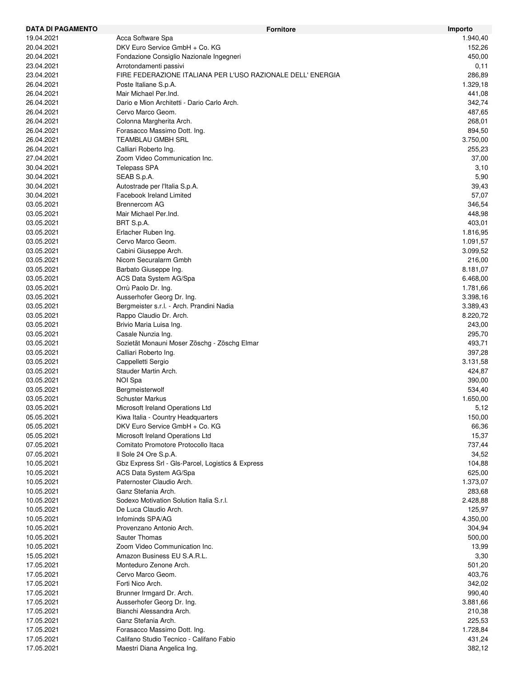| <b>DATA DI PAGAMENTO</b> | <b>Fornitore</b>                                            | Importo  |
|--------------------------|-------------------------------------------------------------|----------|
| 19.04.2021               | Acca Software Spa                                           | 1.940,40 |
| 20.04.2021               | DKV Euro Service GmbH + Co. KG                              | 152,26   |
| 20.04.2021               | Fondazione Consiglio Nazionale Ingegneri                    | 450,00   |
| 23.04.2021               | Arrotondamenti passivi                                      | 0,11     |
| 23.04.2021               | FIRE FEDERAZIONE ITALIANA PER L'USO RAZIONALE DELL' ENERGIA | 286,89   |
| 26.04.2021               | Poste Italiane S.p.A.                                       | 1.329,18 |
| 26.04.2021               | Mair Michael Per.Ind.                                       | 441,08   |
| 26.04.2021               | Dario e Mion Architetti - Dario Carlo Arch.                 | 342,74   |
| 26.04.2021               | Cervo Marco Geom.                                           | 487,65   |
| 26.04.2021               | Colonna Margherita Arch.                                    | 268,01   |
| 26.04.2021               | Forasacco Massimo Dott. Ing.                                | 894,50   |
| 26.04.2021               | TEAMBLAU GMBH SRL                                           | 3.750,00 |
| 26.04.2021               | Calliari Roberto Ing.                                       | 255,23   |
| 27.04.2021               | Zoom Video Communication Inc.                               | 37,00    |
| 30.04.2021               | Telepass SPA                                                | 3,10     |
| 30.04.2021               | SEAB S.p.A.                                                 | 5,90     |
| 30.04.2021               | Autostrade per l'Italia S.p.A.                              | 39,43    |
| 30.04.2021               | <b>Facebook Ireland Limited</b>                             | 57,07    |
| 03.05.2021               | <b>Brennercom AG</b>                                        | 346,54   |
| 03.05.2021               | Mair Michael Per. Ind.                                      | 448,98   |
| 03.05.2021               | BRT S.p.A.                                                  | 403,01   |
| 03.05.2021               | Erlacher Ruben Ing.                                         | 1.816,95 |
| 03.05.2021               | Cervo Marco Geom.                                           | 1.091,57 |
| 03.05.2021               | Cabini Giuseppe Arch.                                       | 3.099,52 |
| 03.05.2021               | Nicom Securalarm Gmbh                                       | 216,00   |
| 03.05.2021               | Barbato Giuseppe Ing.                                       | 8.181,07 |
| 03.05.2021               | ACS Data System AG/Spa                                      | 6.468,00 |
| 03.05.2021               | Orrù Paolo Dr. Ing.                                         | 1.781,66 |
| 03.05.2021               | Ausserhofer Georg Dr. Ing.                                  | 3.398,16 |
| 03.05.2021               | Bergmeister s.r.l. - Arch. Prandini Nadia                   | 3.389,43 |
| 03.05.2021               | Rappo Claudio Dr. Arch.                                     | 8.220,72 |
| 03.05.2021               | Brivio Maria Luisa Ing.                                     | 243,00   |
| 03.05.2021               | Casale Nunzia Ing.                                          | 295,70   |
| 03.05.2021               | Sozietät Monauni Moser Zöschg - Zöschg Elmar                | 493,71   |
| 03.05.2021               | Calliari Roberto Ing.                                       | 397,28   |
| 03.05.2021               | Cappelletti Sergio                                          | 3.131,58 |
| 03.05.2021               | Stauder Martin Arch.                                        | 424,87   |
| 03.05.2021               | NOI Spa                                                     | 390,00   |
| 03.05.2021               | Bergmeisterwolf                                             | 534,40   |
| 03.05.2021               | <b>Schuster Markus</b>                                      | 1.650,00 |
| 03.05.2021               | Microsoft Ireland Operations Ltd                            | 5,12     |
| 05.05.2021               | Kiwa Italia - Country Headquarters                          | 150,00   |
| 05.05.2021               | DKV Euro Service GmbH + Co. KG                              | 66,36    |
| 05.05.2021               | Microsoft Ireland Operations Ltd                            | 15,37    |
| 07.05.2021               | Comitato Promotore Protocollo Itaca                         | 737,44   |
| 07.05.2021               | Il Sole 24 Ore S.p.A.                                       | 34,52    |
| 10.05.2021               | Gbz Express Srl - Gls-Parcel, Logistics & Express           | 104,88   |
| 10.05.2021               | ACS Data System AG/Spa                                      | 625,00   |
| 10.05.2021               | Paternoster Claudio Arch.                                   | 1.373,07 |
| 10.05.2021               | Ganz Stefania Arch.                                         | 283,68   |
| 10.05.2021               | Sodexo Motivation Solution Italia S.r.I.                    | 2.428,88 |
| 10.05.2021               | De Luca Claudio Arch.                                       | 125,97   |
| 10.05.2021               | Infominds SPA/AG                                            | 4.350,00 |
| 10.05.2021               | Provenzano Antonio Arch.                                    | 304,94   |
| 10.05.2021               | <b>Sauter Thomas</b>                                        | 500,00   |
| 10.05.2021               | Zoom Video Communication Inc.                               | 13,99    |
| 15.05.2021               | Amazon Business EU S.A.R.L.                                 | 3,30     |
| 17.05.2021               | Monteduro Zenone Arch.                                      | 501,20   |
| 17.05.2021               | Cervo Marco Geom.                                           | 403,76   |
| 17.05.2021               | Forti Nico Arch.                                            | 342,02   |
| 17.05.2021               | Brunner Irmgard Dr. Arch.                                   | 990,40   |
| 17.05.2021               | Ausserhofer Georg Dr. Ing.                                  | 3.881,66 |
| 17.05.2021               | Bianchi Alessandra Arch.                                    | 210,38   |
| 17.05.2021               | Ganz Stefania Arch.                                         | 225,53   |
| 17.05.2021               | Forasacco Massimo Dott. Ing.                                | 1.728,84 |
| 17.05.2021               | Califano Studio Tecnico - Califano Fabio                    | 431,24   |
| 17.05.2021               | Maestri Diana Angelica Ing.                                 | 382,12   |
|                          |                                                             |          |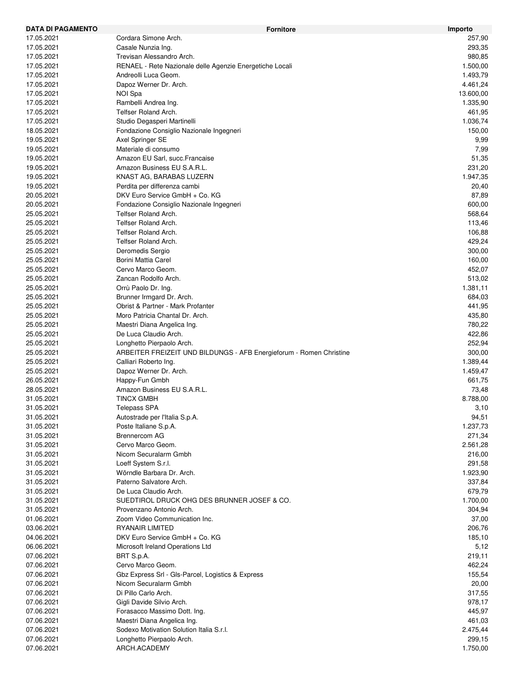| <b>DATA DI PAGAMENTO</b> | <b>Fornitore</b>                                                    | Importo   |
|--------------------------|---------------------------------------------------------------------|-----------|
| 17.05.2021               | Cordara Simone Arch.                                                | 257,90    |
| 17.05.2021               | Casale Nunzia Ing.                                                  | 293,35    |
| 17.05.2021               | Trevisan Alessandro Arch.                                           | 980,85    |
| 17.05.2021               | RENAEL - Rete Nazionale delle Agenzie Energetiche Locali            | 1.500,00  |
| 17.05.2021               | Andreolli Luca Geom.                                                | 1.493,79  |
| 17.05.2021               | Dapoz Werner Dr. Arch.                                              | 4.461,24  |
| 17.05.2021               | NOI Spa                                                             | 13.600,00 |
| 17.05.2021               | Rambelli Andrea Ing.                                                | 1.335,90  |
| 17.05.2021               | Telfser Roland Arch.                                                | 461,95    |
| 17.05.2021               | Studio Degasperi Martinelli                                         | 1.036,74  |
| 18.05.2021               | Fondazione Consiglio Nazionale Ingegneri                            | 150,00    |
|                          |                                                                     |           |
| 19.05.2021               | Axel Springer SE                                                    | 9,99      |
| 19.05.2021               | Materiale di consumo                                                | 7,99      |
| 19.05.2021               | Amazon EU Sarl, succ. Francaise                                     | 51,35     |
| 19.05.2021               | Amazon Business EU S.A.R.L.                                         | 231,20    |
| 19.05.2021               | KNAST AG, BARABAS LUZERN                                            | 1.947,35  |
| 19.05.2021               | Perdita per differenza cambi                                        | 20,40     |
| 20.05.2021               | DKV Euro Service GmbH + Co. KG                                      | 87,89     |
| 20.05.2021               | Fondazione Consiglio Nazionale Ingegneri                            | 600,00    |
| 25.05.2021               | Telfser Roland Arch.                                                | 568,64    |
| 25.05.2021               | Telfser Roland Arch.                                                | 113,46    |
| 25.05.2021               | Telfser Roland Arch.                                                | 106,88    |
| 25.05.2021               | Telfser Roland Arch.                                                | 429,24    |
| 25.05.2021               | Deromedis Sergio                                                    | 300,00    |
| 25.05.2021               | <b>Borini Mattia Carel</b>                                          | 160,00    |
| 25.05.2021               | Cervo Marco Geom.                                                   | 452,07    |
|                          |                                                                     |           |
| 25.05.2021               | Zancan Rodolfo Arch.                                                | 513,02    |
| 25.05.2021               | Orrù Paolo Dr. Ing.                                                 | 1.381,11  |
| 25.05.2021               | Brunner Irmgard Dr. Arch.                                           | 684,03    |
| 25.05.2021               | Obrist & Partner - Mark Profanter                                   | 441,95    |
| 25.05.2021               | Moro Patricia Chantal Dr. Arch.                                     | 435,80    |
| 25.05.2021               | Maestri Diana Angelica Ing.                                         | 780,22    |
| 25.05.2021               | De Luca Claudio Arch.                                               | 422,86    |
| 25.05.2021               | Longhetto Pierpaolo Arch.                                           | 252,94    |
| 25.05.2021               | ARBEITER FREIZEIT UND BILDUNGS - AFB Energieforum - Romen Christine | 300,00    |
| 25.05.2021               | Calliari Roberto Ing.                                               | 1.389,44  |
| 25.05.2021               | Dapoz Werner Dr. Arch.                                              | 1.459,47  |
| 26.05.2021               | Happy-Fun Gmbh                                                      | 661,75    |
| 28.05.2021               | Amazon Business EU S.A.R.L.                                         | 73,48     |
| 31.05.2021               | <b>TINCX GMBH</b>                                                   | 8.788,00  |
| 31.05.2021               | Telepass SPA                                                        | 3,10      |
| 31.05.2021               | Autostrade per l'Italia S.p.A.                                      | 94,51     |
| 31.05.2021               | Poste Italiane S.p.A.                                               | 1.237,73  |
|                          |                                                                     |           |
| 31.05.2021               | Brennercom AG                                                       | 271,34    |
| 31.05.2021               | Cervo Marco Geom.                                                   | 2.561,28  |
| 31.05.2021               | Nicom Securalarm Gmbh                                               | 216,00    |
| 31.05.2021               | Loeff System S.r.l.                                                 | 291,58    |
| 31.05.2021               | Wörndle Barbara Dr. Arch.                                           | 1.923,90  |
| 31.05.2021               | Paterno Salvatore Arch.                                             | 337,84    |
| 31.05.2021               | De Luca Claudio Arch.                                               | 679,79    |
| 31.05.2021               | SUEDTIROL DRUCK OHG DES BRUNNER JOSEF & CO.                         | 1.700,00  |
| 31.05.2021               | Provenzano Antonio Arch.                                            | 304,94    |
| 01.06.2021               | Zoom Video Communication Inc.                                       | 37,00     |
| 03.06.2021               | RYANAIR LIMITED                                                     | 206,76    |
| 04.06.2021               | DKV Euro Service GmbH + Co. KG                                      | 185,10    |
| 06.06.2021               | Microsoft Ireland Operations Ltd                                    | 5,12      |
| 07.06.2021               | BRT S.p.A.                                                          | 219,11    |
| 07.06.2021               | Cervo Marco Geom.                                                   | 462,24    |
|                          |                                                                     |           |
| 07.06.2021               | Gbz Express Srl - Gls-Parcel, Logistics & Express                   | 155,54    |
| 07.06.2021               | Nicom Securalarm Gmbh                                               | 20,00     |
| 07.06.2021               | Di Pillo Carlo Arch.                                                | 317,55    |
| 07.06.2021               | Gigli Davide Silvio Arch.                                           | 978,17    |
| 07.06.2021               | Forasacco Massimo Dott. Ing.                                        | 445,97    |
| 07.06.2021               | Maestri Diana Angelica Ing.                                         | 461,03    |
| 07.06.2021               | Sodexo Motivation Solution Italia S.r.l.                            | 2.475,44  |
| 07.06.2021               | Longhetto Pierpaolo Arch.                                           | 299,15    |
| 07.06.2021               | ARCH.ACADEMY                                                        | 1.750,00  |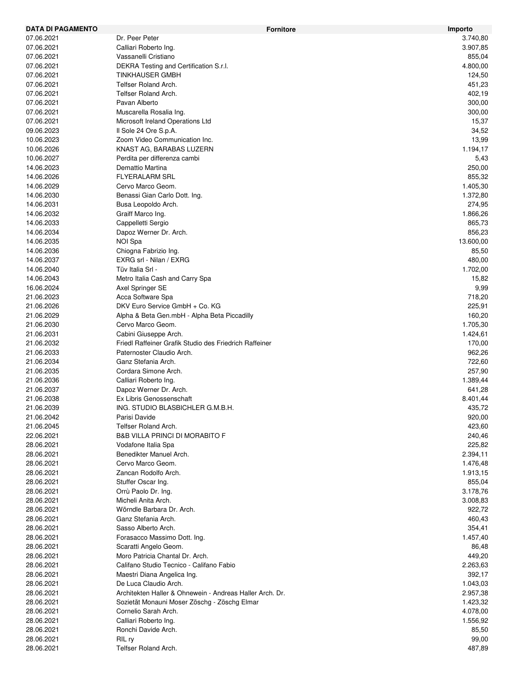| DATA DI PAGAMENTO        | <b>Fornitore</b>                                          | Importo            |
|--------------------------|-----------------------------------------------------------|--------------------|
| 07.06.2021               | Dr. Peer Peter                                            | 3.740,80           |
| 07.06.2021               | Calliari Roberto Ing.                                     | 3.907,85           |
| 07.06.2021               | Vassanelli Cristiano                                      | 855,04             |
| 07.06.2021               | DEKRA Testing and Certification S.r.l.                    | 4.800,00           |
| 07.06.2021               | TINKHAUSER GMBH                                           | 124,50             |
| 07.06.2021               | Telfser Roland Arch.                                      | 451,23             |
| 07.06.2021               | Telfser Roland Arch.                                      | 402,19             |
| 07.06.2021               | Pavan Alberto                                             | 300,00             |
| 07.06.2021               | Muscarella Rosalia Ing.                                   | 300,00             |
| 07.06.2021               | Microsoft Ireland Operations Ltd                          | 15,37              |
| 09.06.2023               | Il Sole 24 Ore S.p.A.                                     | 34,52              |
| 10.06.2023<br>10.06.2026 | Zoom Video Communication Inc.<br>KNAST AG, BARABAS LUZERN | 13,99<br>1.194,17  |
|                          |                                                           |                    |
| 10.06.2027<br>14.06.2023 | Perdita per differenza cambi<br>Demattio Martina          | 5,43<br>250,00     |
| 14.06.2026               | <b>FLYERALARM SRL</b>                                     | 855,32             |
| 14.06.2029               | Cervo Marco Geom.                                         | 1.405,30           |
| 14.06.2030               | Benassi Gian Carlo Dott. Ing.                             | 1.372,80           |
| 14.06.2031               | Busa Leopoldo Arch.                                       | 274,95             |
| 14.06.2032               | Graiff Marco Ing.                                         | 1.866,26           |
| 14.06.2033               | Cappelletti Sergio                                        | 865,73             |
| 14.06.2034               | Dapoz Werner Dr. Arch.                                    | 856,23             |
| 14.06.2035               | NOI Spa                                                   | 13.600,00          |
| 14.06.2036               | Chiogna Fabrizio Ing.                                     | 85,50              |
| 14.06.2037               | EXRG srl - Nilan / EXRG                                   | 480,00             |
| 14.06.2040               | Tüv Italia Srl -                                          | 1.702,00           |
| 14.06.2043               | Metro Italia Cash and Carry Spa                           | 15,82              |
| 16.06.2024               | Axel Springer SE                                          | 9,99               |
| 21.06.2023               | Acca Software Spa                                         | 718,20             |
| 21.06.2026               | DKV Euro Service GmbH + Co. KG                            | 225,91             |
| 21.06.2029               | Alpha & Beta Gen.mbH - Alpha Beta Piccadilly              | 160,20             |
| 21.06.2030               | Cervo Marco Geom.                                         | 1.705,30           |
| 21.06.2031               | Cabini Giuseppe Arch.                                     | 1.424,61           |
| 21.06.2032               | Friedl Raffeiner Grafik Studio des Friedrich Raffeiner    | 170,00             |
| 21.06.2033               | Paternoster Claudio Arch.                                 | 962,26             |
| 21.06.2034               | Ganz Stefania Arch.                                       | 722,60             |
| 21.06.2035               | Cordara Simone Arch.                                      | 257,90             |
| 21.06.2036               | Calliari Roberto Ing.                                     | 1.389,44           |
| 21.06.2037               | Dapoz Werner Dr. Arch.                                    | 641,28             |
| 21.06.2038               | Ex Libris Genossenschaft                                  | 8.401,44           |
| 21.06.2039               | ING. STUDIO BLASBICHLER G.M.B.H.                          | 435,72             |
| 21.06.2042               | Parisi Davide                                             | 920,00             |
| 21.06.2045               | Telfser Roland Arch.                                      | 423,60             |
| 22.06.2021<br>28.06.2021 | <b>B&amp;B VILLA PRINCI DI MORABITO F</b>                 | 240,46             |
| 28.06.2021               | Vodafone Italia Spa<br>Benedikter Manuel Arch.            | 225,82<br>2.394,11 |
| 28.06.2021               | Cervo Marco Geom.                                         | 1.476,48           |
| 28.06.2021               | Zancan Rodolfo Arch.                                      | 1.913,15           |
| 28.06.2021               | Stuffer Oscar Ing.                                        | 855,04             |
| 28.06.2021               | Orrù Paolo Dr. Ing.                                       | 3.178,76           |
| 28.06.2021               | Micheli Anita Arch.                                       | 3.008,83           |
| 28.06.2021               | Wörndle Barbara Dr. Arch.                                 | 922,72             |
| 28.06.2021               | Ganz Stefania Arch.                                       | 460,43             |
| 28.06.2021               | Sasso Alberto Arch.                                       | 354,41             |
| 28.06.2021               | Forasacco Massimo Dott. Ing.                              | 1.457,40           |
| 28.06.2021               | Scaratti Angelo Geom.                                     | 86,48              |
| 28.06.2021               | Moro Patricia Chantal Dr. Arch.                           | 449,20             |
| 28.06.2021               | Califano Studio Tecnico - Califano Fabio                  | 2.263,63           |
| 28.06.2021               | Maestri Diana Angelica Ing.                               | 392,17             |
| 28.06.2021               | De Luca Claudio Arch.                                     | 1.043,03           |
| 28.06.2021               | Architekten Haller & Ohnewein - Andreas Haller Arch. Dr.  | 2.957,38           |
| 28.06.2021               | Sozietät Monauni Moser Zöschg - Zöschg Elmar              | 1.423,32           |
| 28.06.2021               | Cornelio Sarah Arch.                                      | 4.078,00           |
| 28.06.2021               | Calliari Roberto Ing.                                     | 1.556,92           |
| 28.06.2021               | Ronchi Davide Arch.                                       | 85,50              |
| 28.06.2021               | RIL ry                                                    | 99,00              |
| 28.06.2021               | Telfser Roland Arch.                                      | 487,89             |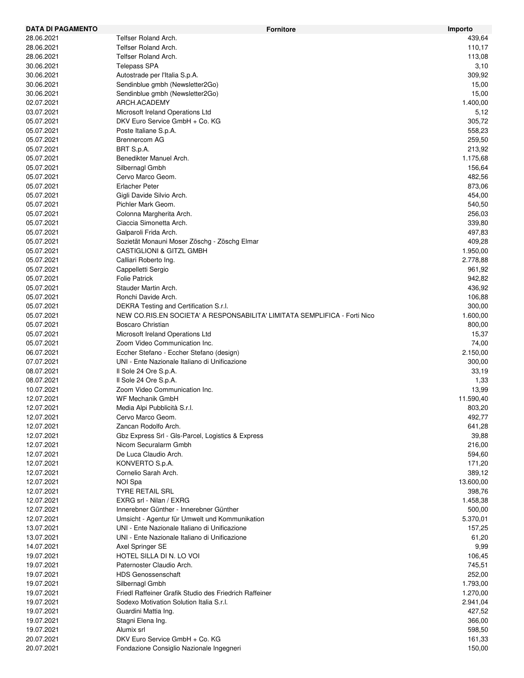| DATA DI PAGAMENTO | <b>Fornitore</b>                                                          | Importo   |
|-------------------|---------------------------------------------------------------------------|-----------|
| 28.06.2021        | Telfser Roland Arch.                                                      | 439,64    |
| 28.06.2021        | Telfser Roland Arch.                                                      | 110,17    |
| 28.06.2021        | <b>Telfser Roland Arch.</b>                                               | 113,08    |
| 30.06.2021        | <b>Telepass SPA</b>                                                       | 3,10      |
| 30.06.2021        | Autostrade per l'Italia S.p.A.                                            | 309,92    |
| 30.06.2021        | Sendinblue gmbh (Newsletter2Go)                                           | 15,00     |
| 30.06.2021        | Sendinblue gmbh (Newsletter2Go)                                           | 15,00     |
| 02.07.2021        | ARCH.ACADEMY                                                              | 1.400,00  |
| 03.07.2021        | Microsoft Ireland Operations Ltd                                          | 5,12      |
| 05.07.2021        | DKV Euro Service GmbH + Co. KG                                            | 305,72    |
| 05.07.2021        | Poste Italiane S.p.A.                                                     | 558,23    |
|                   | Brennercom AG                                                             | 259,50    |
| 05.07.2021        |                                                                           |           |
| 05.07.2021        | BRT S.p.A.                                                                | 213,92    |
| 05.07.2021        | Benedikter Manuel Arch.                                                   | 1.175,68  |
| 05.07.2021        | Silbernagl Gmbh                                                           | 156,64    |
| 05.07.2021        | Cervo Marco Geom.                                                         | 482,56    |
| 05.07.2021        | <b>Erlacher Peter</b>                                                     | 873,06    |
| 05.07.2021        | Gigli Davide Silvio Arch.                                                 | 454,00    |
| 05.07.2021        | Pichler Mark Geom.                                                        | 540,50    |
| 05.07.2021        | Colonna Margherita Arch.                                                  | 256,03    |
| 05.07.2021        | Ciaccia Simonetta Arch.                                                   | 339,80    |
| 05.07.2021        | Galparoli Frida Arch.                                                     | 497,83    |
| 05.07.2021        | Sozietät Monauni Moser Zöschg - Zöschg Elmar                              | 409,28    |
| 05.07.2021        | <b>CASTIGLIONI &amp; GITZL GMBH</b>                                       | 1.950,00  |
| 05.07.2021        | Calliari Roberto Ing.                                                     | 2.778,88  |
| 05.07.2021        | Cappelletti Sergio                                                        | 961,92    |
| 05.07.2021        | <b>Folie Patrick</b>                                                      | 942,82    |
| 05.07.2021        | Stauder Martin Arch.                                                      | 436,92    |
| 05.07.2021        | Ronchi Davide Arch.                                                       | 106,88    |
| 05.07.2021        | DEKRA Testing and Certification S.r.I.                                    | 300,00    |
| 05.07.2021        | NEW CO.RIS.EN SOCIETA' A RESPONSABILITA' LIMITATA SEMPLIFICA - Forti Nico | 1.600,00  |
| 05.07.2021        | Boscaro Christian                                                         | 800,00    |
| 05.07.2021        | Microsoft Ireland Operations Ltd                                          | 15,37     |
| 05.07.2021        | Zoom Video Communication Inc.                                             | 74,00     |
| 06.07.2021        | Eccher Stefano - Eccher Stefano (design)                                  | 2.150,00  |
| 07.07.2021        |                                                                           | 300,00    |
|                   | UNI - Ente Nazionale Italiano di Unificazione                             |           |
| 08.07.2021        | Il Sole 24 Ore S.p.A.                                                     | 33,19     |
| 08.07.2021        | Il Sole 24 Ore S.p.A.                                                     | 1,33      |
| 10.07.2021        | Zoom Video Communication Inc.                                             | 13,99     |
| 12.07.2021        | <b>WF Mechanik GmbH</b>                                                   | 11.590,40 |
| 12.07.2021        | Media Alpi Pubblicità S.r.l.                                              | 803,20    |
| 12.07.2021        | Cervo Marco Geom.                                                         | 492,77    |
| 12.07.2021        | Zancan Rodolfo Arch.                                                      | 641,28    |
| 12.07.2021        | Gbz Express Srl - Gls-Parcel, Logistics & Express                         | 39,88     |
| 12.07.2021        | Nicom Securalarm Gmbh                                                     | 216,00    |
| 12.07.2021        | De Luca Claudio Arch.                                                     | 594,60    |
| 12.07.2021        | KONVERTO S.p.A.                                                           | 171,20    |
| 12.07.2021        | Cornelio Sarah Arch.                                                      | 389,12    |
| 12.07.2021        | NOI Spa                                                                   | 13.600,00 |
| 12.07.2021        | <b>TYRE RETAIL SRL</b>                                                    | 398,76    |
| 12.07.2021        | EXRG srl - Nilan / EXRG                                                   | 1.458,38  |
| 12.07.2021        | Innerebner Günther - Innerebner Günther                                   | 500,00    |
| 12.07.2021        | Umsicht - Agentur für Umwelt und Kommunikation                            | 5.370,01  |
| 13.07.2021        | UNI - Ente Nazionale Italiano di Unificazione                             | 157,25    |
| 13.07.2021        | UNI - Ente Nazionale Italiano di Unificazione                             | 61,20     |
| 14.07.2021        | Axel Springer SE                                                          | 9,99      |
| 19.07.2021        | HOTEL SILLA DI N. LO VOI                                                  | 106,45    |
| 19.07.2021        | Paternoster Claudio Arch.                                                 | 745,51    |
| 19.07.2021        | <b>HDS Genossenschaft</b>                                                 | 252,00    |
| 19.07.2021        | Silbernagl Gmbh                                                           | 1.793,00  |
| 19.07.2021        | Friedl Raffeiner Grafik Studio des Friedrich Raffeiner                    | 1.270,00  |
| 19.07.2021        | Sodexo Motivation Solution Italia S.r.l.                                  | 2.941,04  |
| 19.07.2021        | Guardini Mattia Ing.                                                      | 427,52    |
| 19.07.2021        |                                                                           | 366,00    |
|                   | Stagni Elena Ing.                                                         |           |
| 19.07.2021        | Alumix srl                                                                | 598,50    |
| 20.07.2021        | DKV Euro Service GmbH + Co. KG                                            | 161,33    |
| 20.07.2021        | Fondazione Consiglio Nazionale Ingegneri                                  | 150,00    |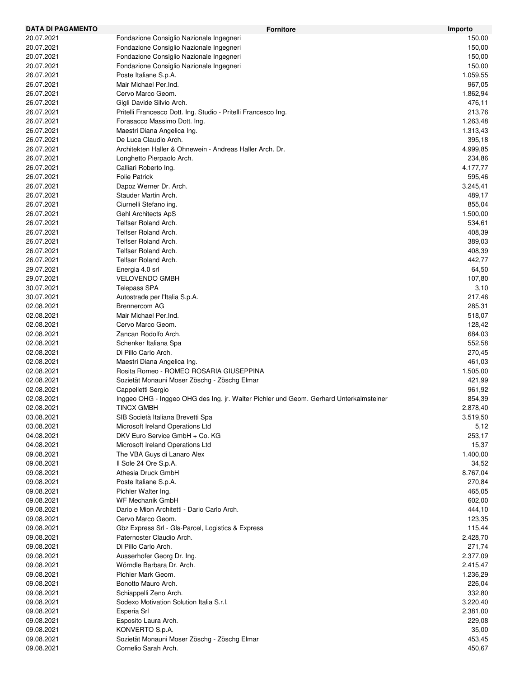| <b>DATA DI PAGAMENTO</b> | <b>Fornitore</b>                                                                       | Importo  |
|--------------------------|----------------------------------------------------------------------------------------|----------|
| 20.07.2021               | Fondazione Consiglio Nazionale Ingegneri                                               | 150,00   |
| 20.07.2021               | Fondazione Consiglio Nazionale Ingegneri                                               | 150,00   |
| 20.07.2021               | Fondazione Consiglio Nazionale Ingegneri                                               | 150,00   |
| 20.07.2021               | Fondazione Consiglio Nazionale Ingegneri                                               | 150,00   |
| 26.07.2021               | Poste Italiane S.p.A.                                                                  | 1.059,55 |
| 26.07.2021               | Mair Michael Per. Ind.                                                                 | 967,05   |
| 26.07.2021               | Cervo Marco Geom.                                                                      | 1.862,94 |
| 26.07.2021               | Gigli Davide Silvio Arch.                                                              | 476,11   |
| 26.07.2021               | Pritelli Francesco Dott. Ing. Studio - Pritelli Francesco Ing.                         | 213,76   |
| 26.07.2021               | Forasacco Massimo Dott. Ing.                                                           |          |
|                          |                                                                                        | 1.263,48 |
| 26.07.2021               | Maestri Diana Angelica Ing.                                                            | 1.313,43 |
| 26.07.2021               | De Luca Claudio Arch.                                                                  | 395,18   |
| 26.07.2021               | Architekten Haller & Ohnewein - Andreas Haller Arch. Dr.                               | 4.999,85 |
| 26.07.2021               | Longhetto Pierpaolo Arch.                                                              | 234,86   |
| 26.07.2021               | Calliari Roberto Ing.                                                                  | 4.177,77 |
| 26.07.2021               | <b>Folie Patrick</b>                                                                   | 595,46   |
| 26.07.2021               | Dapoz Werner Dr. Arch.                                                                 | 3.245,41 |
| 26.07.2021               | Stauder Martin Arch.                                                                   | 489,17   |
| 26.07.2021               | Ciurnelli Stefano ing.                                                                 | 855,04   |
| 26.07.2021               | Gehl Architects ApS                                                                    | 1.500,00 |
| 26.07.2021               | Telfser Roland Arch.                                                                   | 534,61   |
| 26.07.2021               | Telfser Roland Arch.                                                                   | 408,39   |
| 26.07.2021               | Telfser Roland Arch.                                                                   | 389,03   |
| 26.07.2021               | Telfser Roland Arch.                                                                   | 408,39   |
| 26.07.2021               | Telfser Roland Arch.                                                                   | 442,77   |
| 29.07.2021               | Energia 4.0 srl                                                                        | 64,50    |
| 29.07.2021               | <b>VELOVENDO GMBH</b>                                                                  | 107,80   |
| 30.07.2021               | Telepass SPA                                                                           | 3,10     |
|                          |                                                                                        |          |
| 30.07.2021               | Autostrade per l'Italia S.p.A.                                                         | 217,46   |
| 02.08.2021               | <b>Brennercom AG</b>                                                                   | 285,31   |
| 02.08.2021               | Mair Michael Per.Ind.                                                                  | 518,07   |
| 02.08.2021               | Cervo Marco Geom.                                                                      | 128,42   |
| 02.08.2021               | Zancan Rodolfo Arch.                                                                   | 684,03   |
| 02.08.2021               | Schenker Italiana Spa                                                                  | 552,58   |
| 02.08.2021               | Di Pillo Carlo Arch.                                                                   | 270,45   |
| 02.08.2021               | Maestri Diana Angelica Ing.                                                            | 461,03   |
| 02.08.2021               | Rosita Romeo - ROMEO ROSARIA GIUSEPPINA                                                | 1.505,00 |
| 02.08.2021               | Sozietät Monauni Moser Zöschg - Zöschg Elmar                                           | 421,99   |
| 02.08.2021               | Cappelletti Sergio                                                                     | 961,92   |
| 02.08.2021               | Inggeo OHG - Inggeo OHG des Ing. jr. Walter Pichler und Geom. Gerhard Unterkalmsteiner | 854,39   |
| 02.08.2021               | TINCX GMBH                                                                             | 2.878,40 |
| 03.08.2021               | SIB Società Italiana Brevetti Spa                                                      | 3.519,50 |
| 03.08.2021               | Microsoft Ireland Operations Ltd                                                       | 5,12     |
| 04.08.2021               | DKV Euro Service GmbH + Co. KG                                                         | 253,17   |
| 04.08.2021               | Microsoft Ireland Operations Ltd                                                       | 15,37    |
| 09.08.2021               | The VBA Guys di Lanaro Alex                                                            | 1.400,00 |
| 09.08.2021               | Il Sole 24 Ore S.p.A.                                                                  | 34,52    |
| 09.08.2021               | Athesia Druck GmbH                                                                     | 8.767,04 |
|                          |                                                                                        |          |
| 09.08.2021               | Poste Italiane S.p.A.                                                                  | 270,84   |
| 09.08.2021               | Pichler Walter Ing.                                                                    | 465,05   |
| 09.08.2021               | <b>WF Mechanik GmbH</b>                                                                | 602,00   |
| 09.08.2021               | Dario e Mion Architetti - Dario Carlo Arch.                                            | 444,10   |
| 09.08.2021               | Cervo Marco Geom.                                                                      | 123,35   |
| 09.08.2021               | Gbz Express Srl - Gls-Parcel, Logistics & Express                                      | 115,44   |
| 09.08.2021               | Paternoster Claudio Arch.                                                              | 2.428,70 |
| 09.08.2021               | Di Pillo Carlo Arch.                                                                   | 271,74   |
| 09.08.2021               | Ausserhofer Georg Dr. Ing.                                                             | 2.377,09 |
| 09.08.2021               | Wörndle Barbara Dr. Arch.                                                              | 2.415,47 |
| 09.08.2021               | Pichler Mark Geom.                                                                     | 1.236,29 |
| 09.08.2021               | Bonotto Mauro Arch.                                                                    | 226,04   |
| 09.08.2021               | Schiappelli Zeno Arch.                                                                 | 332,80   |
| 09.08.2021               | Sodexo Motivation Solution Italia S.r.I.                                               | 3.220,40 |
| 09.08.2021               | Esperia Srl                                                                            | 2.381,00 |
| 09.08.2021               | Esposito Laura Arch.                                                                   | 229,08   |
| 09.08.2021               | KONVERTO S.p.A.                                                                        | 35,00    |
| 09.08.2021               | Sozietät Monauni Moser Zöschg - Zöschg Elmar                                           | 453,45   |
| 09.08.2021               | Cornelio Sarah Arch.                                                                   | 450,67   |
|                          |                                                                                        |          |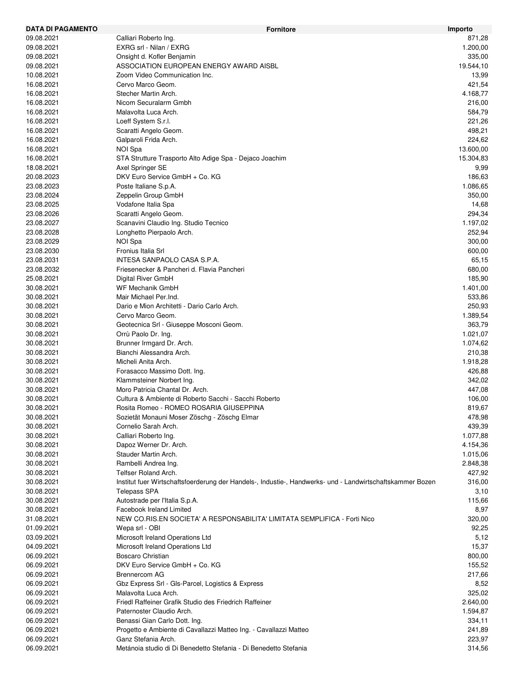| <b>DATA DI PAGAMENTO</b> | <b>Fornitore</b>                                                                                          | Importo   |
|--------------------------|-----------------------------------------------------------------------------------------------------------|-----------|
| 09.08.2021               | Calliari Roberto Ing.                                                                                     | 871,28    |
| 09.08.2021               | EXRG srl - Nilan / EXRG                                                                                   | 1.200,00  |
| 09.08.2021               | Onsight d. Kofler Benjamin                                                                                | 335,00    |
| 09.08.2021               | ASSOCIATION EUROPEAN ENERGY AWARD AISBL                                                                   | 19.544,10 |
| 10.08.2021               | Zoom Video Communication Inc.                                                                             | 13,99     |
| 16.08.2021               | Cervo Marco Geom.                                                                                         | 421,54    |
| 16.08.2021               | Stecher Martin Arch.                                                                                      | 4.168,77  |
| 16.08.2021               | Nicom Securalarm Gmbh                                                                                     | 216,00    |
| 16.08.2021               | Malavolta Luca Arch.                                                                                      | 584,79    |
|                          |                                                                                                           |           |
| 16.08.2021               | Loeff System S.r.l.                                                                                       | 221,26    |
| 16.08.2021               | Scaratti Angelo Geom.                                                                                     | 498,21    |
| 16.08.2021               | Galparoli Frida Arch.                                                                                     | 224,62    |
| 16.08.2021               | NOI Spa                                                                                                   | 13.600,00 |
| 16.08.2021               | STA Strutture Trasporto Alto Adige Spa - Dejaco Joachim                                                   | 15.304,83 |
| 18.08.2021               | Axel Springer SE                                                                                          | 9,99      |
| 20.08.2023               | DKV Euro Service GmbH + Co. KG                                                                            | 186,63    |
| 23.08.2023               | Poste Italiane S.p.A.                                                                                     | 1.086,65  |
| 23.08.2024               | Zeppelin Group GmbH                                                                                       | 350,00    |
| 23.08.2025               | Vodafone Italia Spa                                                                                       | 14,68     |
| 23.08.2026               | Scaratti Angelo Geom.                                                                                     | 294,34    |
| 23.08.2027               | Scanavini Claudio Ing. Studio Tecnico                                                                     | 1.197,02  |
| 23.08.2028               | Longhetto Pierpaolo Arch.                                                                                 | 252,94    |
| 23.08.2029               | NOI Spa                                                                                                   | 300,00    |
| 23.08.2030               | Fronius Italia Srl                                                                                        | 600,00    |
| 23.08.2031               | INTESA SANPAOLO CASA S.P.A.                                                                               |           |
|                          |                                                                                                           | 65,15     |
| 23.08.2032               | Friesenecker & Pancheri d. Flavia Pancheri                                                                | 680,00    |
| 25.08.2021               | Digital River GmbH                                                                                        | 185,90    |
| 30.08.2021               | WF Mechanik GmbH                                                                                          | 1.401,00  |
| 30.08.2021               | Mair Michael Per.Ind.                                                                                     | 533,86    |
| 30.08.2021               | Dario e Mion Architetti - Dario Carlo Arch.                                                               | 250,93    |
| 30.08.2021               | Cervo Marco Geom.                                                                                         | 1.389,54  |
| 30.08.2021               | Geotecnica Srl - Giuseppe Mosconi Geom.                                                                   | 363,79    |
| 30.08.2021               | Orrù Paolo Dr. Ing.                                                                                       | 1.021,07  |
| 30.08.2021               | Brunner Irmgard Dr. Arch.                                                                                 | 1.074,62  |
| 30.08.2021               | Bianchi Alessandra Arch.                                                                                  | 210,38    |
| 30.08.2021               | Micheli Anita Arch.                                                                                       | 1.918,28  |
| 30.08.2021               | Forasacco Massimo Dott. Ing.                                                                              | 426,88    |
| 30.08.2021               | Klammsteiner Norbert Ing.                                                                                 | 342,02    |
| 30.08.2021               | Moro Patricia Chantal Dr. Arch.                                                                           | 447,08    |
|                          |                                                                                                           |           |
| 30.08.2021               | Cultura & Ambiente di Roberto Sacchi - Sacchi Roberto                                                     | 106,00    |
| 30.08.2021               | Rosita Romeo - ROMEO ROSARIA GIUSEPPINA                                                                   | 819,67    |
| 30.08.2021               | Sozietät Monauni Moser Zöschg - Zöschg Elmar                                                              | 478,98    |
| 30.08.2021               | Cornelio Sarah Arch.                                                                                      | 439,39    |
| 30.08.2021               | Calliari Roberto Ing.                                                                                     | 1.077,88  |
| 30.08.2021               | Dapoz Werner Dr. Arch.                                                                                    | 4.154,36  |
| 30.08.2021               | Stauder Martin Arch.                                                                                      | 1.015,06  |
| 30.08.2021               | Rambelli Andrea Ing.                                                                                      | 2.848,38  |
| 30.08.2021               | Telfser Roland Arch.                                                                                      | 427,92    |
| 30.08.2021               | Institut fuer Wirtschaftsfoerderung der Handels-, Industie-, Handwerks- und - Landwirtschaftskammer Bozen | 316,00    |
| 30.08.2021               | <b>Telepass SPA</b>                                                                                       | 3,10      |
| 30.08.2021               | Autostrade per l'Italia S.p.A.                                                                            | 115,66    |
| 30.08.2021               | Facebook Ireland Limited                                                                                  | 8,97      |
|                          | NEW CO.RIS.EN SOCIETA' A RESPONSABILITA' LIMITATA SEMPLIFICA - Forti Nico                                 |           |
| 31.08.2021               |                                                                                                           | 320,00    |
| 01.09.2021               | Wepa srl - OBI                                                                                            | 92,25     |
| 03.09.2021               | Microsoft Ireland Operations Ltd                                                                          | 5,12      |
| 04.09.2021               | Microsoft Ireland Operations Ltd                                                                          | 15,37     |
| 06.09.2021               | Boscaro Christian                                                                                         | 800,00    |
| 06.09.2021               | DKV Euro Service GmbH + Co. KG                                                                            | 155,52    |
| 06.09.2021               | Brennercom AG                                                                                             | 217,66    |
| 06.09.2021               | Gbz Express Srl - Gls-Parcel, Logistics & Express                                                         | 8,52      |
| 06.09.2021               | Malavolta Luca Arch.                                                                                      | 325,02    |
| 06.09.2021               | Friedl Raffeiner Grafik Studio des Friedrich Raffeiner                                                    | 2.640,00  |
| 06.09.2021               | Paternoster Claudio Arch.                                                                                 | 1.594,87  |
| 06.09.2021               | Benassi Gian Carlo Dott. Ing.                                                                             | 334,11    |
| 06.09.2021               | Progetto e Ambiente di Cavallazzi Matteo Ing. - Cavallazzi Matteo                                         | 241,89    |
| 06.09.2021               | Ganz Stefania Arch.                                                                                       | 223,97    |
| 06.09.2021               | Metánoia studio di Di Benedetto Stefania - Di Benedetto Stefania                                          | 314,56    |
|                          |                                                                                                           |           |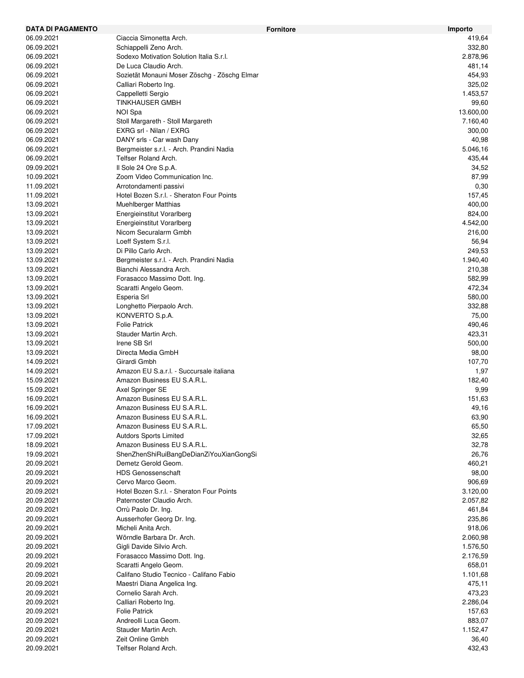| <b>DATA DI PAGAMENTO</b> |                                              | <b>Fornitore</b> | Importo   |
|--------------------------|----------------------------------------------|------------------|-----------|
| 06.09.2021               | Ciaccia Simonetta Arch.                      |                  | 419,64    |
| 06.09.2021               | Schiappelli Zeno Arch.                       |                  | 332,80    |
| 06.09.2021               | Sodexo Motivation Solution Italia S.r.l.     |                  | 2.878,96  |
| 06.09.2021               | De Luca Claudio Arch.                        |                  | 481,14    |
| 06.09.2021               | Sozietät Monauni Moser Zöschg - Zöschg Elmar |                  | 454,93    |
| 06.09.2021               | Calliari Roberto Ing.                        |                  | 325,02    |
| 06.09.2021               | Cappelletti Sergio                           |                  | 1.453,57  |
| 06.09.2021               | <b>TINKHAUSER GMBH</b>                       |                  |           |
|                          |                                              |                  | 99,60     |
| 06.09.2021               | NOI Spa                                      |                  | 13.600,00 |
| 06.09.2021               | Stoll Margareth - Stoll Margareth            |                  | 7.160,40  |
| 06.09.2021               | EXRG srl - Nilan / EXRG                      |                  | 300,00    |
| 06.09.2021               | DANY srls - Car wash Dany                    |                  | 40,98     |
| 06.09.2021               | Bergmeister s.r.l. - Arch. Prandini Nadia    |                  | 5.046,16  |
| 06.09.2021               | Telfser Roland Arch.                         |                  | 435,44    |
| 09.09.2021               | Il Sole 24 Ore S.p.A.                        |                  | 34,52     |
| 10.09.2021               | Zoom Video Communication Inc.                |                  | 87,99     |
| 11.09.2021               | Arrotondamenti passivi                       |                  | 0,30      |
| 11.09.2021               | Hotel Bozen S.r.l. - Sheraton Four Points    |                  | 157,45    |
| 13.09.2021               | <b>Muehlberger Matthias</b>                  |                  | 400,00    |
| 13.09.2021               | <b>Energieinstitut Vorarlberg</b>            |                  | 824,00    |
| 13.09.2021               | Energieinstitut Vorarlberg                   |                  | 4.542,00  |
| 13.09.2021               | Nicom Securalarm Gmbh                        |                  | 216,00    |
|                          |                                              |                  |           |
| 13.09.2021               | Loeff System S.r.l.                          |                  | 56,94     |
| 13.09.2021               | Di Pillo Carlo Arch.                         |                  | 249,53    |
| 13.09.2021               | Bergmeister s.r.l. - Arch. Prandini Nadia    |                  | 1.940,40  |
| 13.09.2021               | Bianchi Alessandra Arch.                     |                  | 210,38    |
| 13.09.2021               | Forasacco Massimo Dott. Ing.                 |                  | 582,99    |
| 13.09.2021               | Scaratti Angelo Geom.                        |                  | 472,34    |
| 13.09.2021               | Esperia Srl                                  |                  | 580,00    |
| 13.09.2021               | Longhetto Pierpaolo Arch.                    |                  | 332,88    |
| 13.09.2021               | KONVERTO S.p.A.                              |                  | 75,00     |
| 13.09.2021               | <b>Folie Patrick</b>                         |                  | 490,46    |
| 13.09.2021               | Stauder Martin Arch.                         |                  | 423,31    |
| 13.09.2021               | Irene SB Srl                                 |                  | 500,00    |
| 13.09.2021               | Directa Media GmbH                           |                  |           |
|                          | Girardi Gmbh                                 |                  | 98,00     |
| 14.09.2021               |                                              |                  | 107,70    |
| 14.09.2021               | Amazon EU S.a.r.l. - Succursale italiana     |                  | 1,97      |
| 15.09.2021               | Amazon Business EU S.A.R.L.                  |                  | 182,40    |
| 15.09.2021               | Axel Springer SE                             |                  | 9,99      |
| 16.09.2021               | Amazon Business EU S.A.R.L.                  |                  | 151,63    |
| 16.09.2021               | Amazon Business EU S.A.R.L.                  |                  | 49,16     |
| 16.09.2021               | Amazon Business EU S.A.R.L.                  |                  | 63,90     |
| 17.09.2021               | Amazon Business EU S.A.R.L.                  |                  | 65,50     |
| 17.09.2021               | <b>Autdors Sports Limited</b>                |                  | 32,65     |
| 18.09.2021               | Amazon Business EU S.A.R.L.                  |                  | 32,78     |
| 19.09.2021               | ShenZhenShiRuiBangDeDianZiYouXianGongSi      |                  | 26,76     |
| 20.09.2021               | Demetz Gerold Geom.                          |                  | 460,21    |
| 20.09.2021               | <b>HDS Genossenschaft</b>                    |                  | 98,00     |
| 20.09.2021               | Cervo Marco Geom.                            |                  | 906,69    |
|                          |                                              |                  |           |
| 20.09.2021               | Hotel Bozen S.r.I. - Sheraton Four Points    |                  | 3.120,00  |
| 20.09.2021               | Paternoster Claudio Arch.                    |                  | 2.057,82  |
| 20.09.2021               | Orrù Paolo Dr. Ing.                          |                  | 461,84    |
| 20.09.2021               | Ausserhofer Georg Dr. Ing.                   |                  | 235,86    |
| 20.09.2021               | Micheli Anita Arch.                          |                  | 918,06    |
| 20.09.2021               | Wörndle Barbara Dr. Arch.                    |                  | 2.060,98  |
| 20.09.2021               | Gigli Davide Silvio Arch.                    |                  | 1.576,50  |
| 20.09.2021               | Forasacco Massimo Dott. Ing.                 |                  | 2.176,59  |
| 20.09.2021               | Scaratti Angelo Geom.                        |                  | 658,01    |
| 20.09.2021               | Califano Studio Tecnico - Califano Fabio     |                  | 1.101,68  |
| 20.09.2021               | Maestri Diana Angelica Ing.                  |                  | 475,11    |
| 20.09.2021               | Cornelio Sarah Arch.                         |                  | 473,23    |
| 20.09.2021               | Calliari Roberto Ing.                        |                  | 2.286,04  |
| 20.09.2021               | <b>Folie Patrick</b>                         |                  |           |
|                          |                                              |                  | 157,63    |
| 20.09.2021               | Andreolli Luca Geom.                         |                  | 883,07    |
| 20.09.2021               | Stauder Martin Arch.                         |                  | 1.152,47  |
| 20.09.2021               | Zeit Online Gmbh                             |                  | 36,40     |
| 20.09.2021               | Telfser Roland Arch.                         |                  | 432,43    |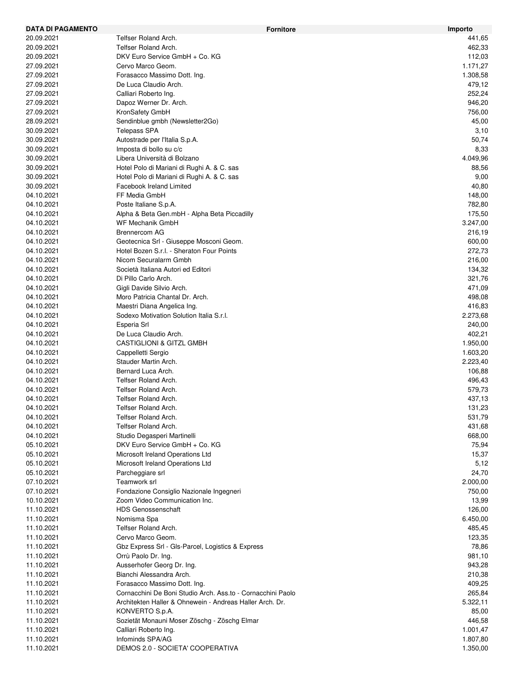| DATA DI PAGAMENTO |                                                             | <b>Fornitore</b> | Importo  |
|-------------------|-------------------------------------------------------------|------------------|----------|
| 20.09.2021        | Telfser Roland Arch.                                        |                  | 441,65   |
| 20.09.2021        | Telfser Roland Arch.                                        |                  | 462,33   |
| 20.09.2021        | DKV Euro Service GmbH + Co. KG                              |                  | 112,03   |
| 27.09.2021        | Cervo Marco Geom.                                           |                  | 1.171,27 |
| 27.09.2021        | Forasacco Massimo Dott. Ing.                                |                  | 1.308,58 |
| 27.09.2021        | De Luca Claudio Arch.                                       |                  | 479,12   |
| 27.09.2021        | Calliari Roberto Ing.                                       |                  | 252,24   |
| 27.09.2021        | Dapoz Werner Dr. Arch.                                      |                  | 946,20   |
| 27.09.2021        | KronSafety GmbH                                             |                  | 756,00   |
|                   |                                                             |                  |          |
| 28.09.2021        | Sendinblue gmbh (Newsletter2Go)                             |                  | 45,00    |
| 30.09.2021        | <b>Telepass SPA</b>                                         |                  | 3,10     |
| 30.09.2021        | Autostrade per l'Italia S.p.A.                              |                  | 50,74    |
| 30.09.2021        | Imposta di bollo su c/c                                     |                  | 8,33     |
| 30.09.2021        | Libera Università di Bolzano                                |                  | 4.049,96 |
| 30.09.2021        | Hotel Polo di Mariani di Rughi A. & C. sas                  |                  | 88,56    |
| 30.09.2021        | Hotel Polo di Mariani di Rughi A. & C. sas                  |                  | 9,00     |
| 30.09.2021        | <b>Facebook Ireland Limited</b>                             |                  | 40,80    |
| 04.10.2021        | FF Media GmbH                                               |                  | 148,00   |
| 04.10.2021        | Poste Italiane S.p.A.                                       |                  | 782,80   |
| 04.10.2021        | Alpha & Beta Gen.mbH - Alpha Beta Piccadilly                |                  | 175,50   |
| 04.10.2021        | WF Mechanik GmbH                                            |                  | 3.247,00 |
| 04.10.2021        | <b>Brennercom AG</b>                                        |                  | 216,19   |
| 04.10.2021        | Geotecnica Srl - Giuseppe Mosconi Geom.                     |                  | 600,00   |
| 04.10.2021        | Hotel Bozen S.r.I. - Sheraton Four Points                   |                  | 272,73   |
| 04.10.2021        | Nicom Securalarm Gmbh                                       |                  | 216,00   |
| 04.10.2021        | Società Italiana Autori ed Editori                          |                  | 134,32   |
| 04.10.2021        | Di Pillo Carlo Arch.                                        |                  | 321,76   |
|                   |                                                             |                  |          |
| 04.10.2021        | Gigli Davide Silvio Arch.                                   |                  | 471,09   |
| 04.10.2021        | Moro Patricia Chantal Dr. Arch.                             |                  | 498,08   |
| 04.10.2021        | Maestri Diana Angelica Ing.                                 |                  | 416,83   |
| 04.10.2021        | Sodexo Motivation Solution Italia S.r.l.                    |                  | 2.273,68 |
| 04.10.2021        | Esperia Srl                                                 |                  | 240,00   |
| 04.10.2021        | De Luca Claudio Arch.                                       |                  | 402,21   |
| 04.10.2021        | <b>CASTIGLIONI &amp; GITZL GMBH</b>                         |                  | 1.950,00 |
| 04.10.2021        | Cappelletti Sergio                                          |                  | 1.603,20 |
| 04.10.2021        | Stauder Martin Arch.                                        |                  | 2.223,40 |
| 04.10.2021        | Bernard Luca Arch.                                          |                  | 106,88   |
| 04.10.2021        | Telfser Roland Arch.                                        |                  | 496,43   |
| 04.10.2021        | Telfser Roland Arch.                                        |                  | 579,73   |
| 04.10.2021        | Telfser Roland Arch.                                        |                  | 437,13   |
| 04.10.2021        | Telfser Roland Arch.                                        |                  | 131,23   |
| 04.10.2021        | Telfser Roland Arch.                                        |                  | 531,79   |
| 04.10.2021        | Telfser Roland Arch.                                        |                  | 431,68   |
| 04.10.2021        | Studio Degasperi Martinelli                                 |                  | 668,00   |
| 05.10.2021        | DKV Euro Service GmbH + Co. KG                              |                  | 75,94    |
| 05.10.2021        | Microsoft Ireland Operations Ltd                            |                  | 15,37    |
| 05.10.2021        | Microsoft Ireland Operations Ltd                            |                  | 5,12     |
| 05.10.2021        |                                                             |                  |          |
|                   | Parcheggiare srl                                            |                  | 24,70    |
| 07.10.2021        | Teamwork srl                                                |                  | 2.000,00 |
| 07.10.2021        | Fondazione Consiglio Nazionale Ingegneri                    |                  | 750,00   |
| 10.10.2021        | Zoom Video Communication Inc.                               |                  | 13,99    |
| 11.10.2021        | <b>HDS Genossenschaft</b>                                   |                  | 126,00   |
| 11.10.2021        | Nomisma Spa                                                 |                  | 6.450,00 |
| 11.10.2021        | Telfser Roland Arch.                                        |                  | 485,45   |
| 11.10.2021        | Cervo Marco Geom.                                           |                  | 123,35   |
| 11.10.2021        | Gbz Express Srl - Gls-Parcel, Logistics & Express           |                  | 78,86    |
| 11.10.2021        | Orrù Paolo Dr. Ing.                                         |                  | 981,10   |
| 11.10.2021        | Ausserhofer Georg Dr. Ing.                                  |                  | 943,28   |
| 11.10.2021        | Bianchi Alessandra Arch.                                    |                  | 210,38   |
| 11.10.2021        | Forasacco Massimo Dott. Ing.                                |                  | 409,25   |
| 11.10.2021        | Cornacchini De Boni Studio Arch. Ass.to - Cornacchini Paolo |                  | 265,84   |
| 11.10.2021        | Architekten Haller & Ohnewein - Andreas Haller Arch. Dr.    |                  | 5.322,11 |
| 11.10.2021        | KONVERTO S.p.A.                                             |                  | 85,00    |
| 11.10.2021        | Sozietät Monauni Moser Zöschg - Zöschg Elmar                |                  | 446,58   |
| 11.10.2021        |                                                             |                  |          |
|                   | Calliari Roberto Ing.                                       |                  | 1.001,47 |
| 11.10.2021        | Infominds SPA/AG                                            |                  | 1.807,80 |
| 11.10.2021        | DEMOS 2.0 - SOCIETA' COOPERATIVA                            |                  | 1.350,00 |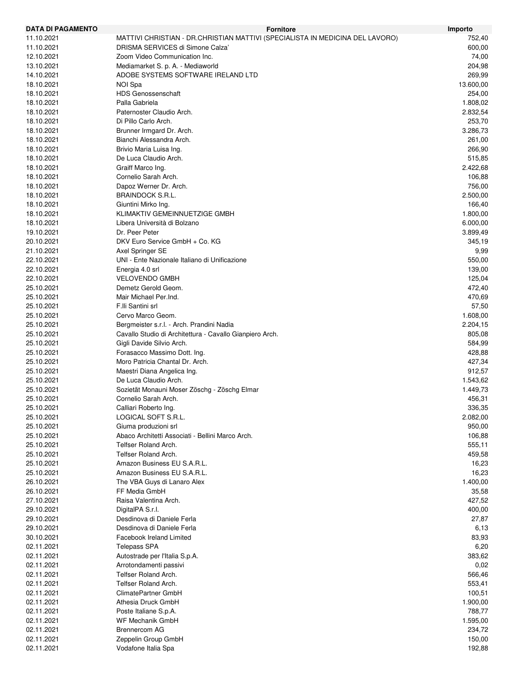| <b>DATA DI PAGAMENTO</b> | <b>Fornitore</b>                                                              | Importo   |
|--------------------------|-------------------------------------------------------------------------------|-----------|
| 11.10.2021               | MATTIVI CHRISTIAN - DR.CHRISTIAN MATTIVI (SPECIALISTA IN MEDICINA DEL LAVORO) | 752,40    |
| 11.10.2021               | DRISMA SERVICES di Simone Calza'                                              | 600,00    |
| 12.10.2021               | Zoom Video Communication Inc.                                                 | 74,00     |
| 13.10.2021               | Mediamarket S. p. A. - Mediaworld                                             | 204,98    |
| 14.10.2021               | ADOBE SYSTEMS SOFTWARE IRELAND LTD                                            | 269,99    |
| 18.10.2021               | NOI Spa                                                                       | 13.600,00 |
| 18.10.2021               | <b>HDS Genossenschaft</b>                                                     | 254,00    |
| 18.10.2021               | Palla Gabriela                                                                | 1.808,02  |
| 18.10.2021               | Paternoster Claudio Arch.                                                     | 2.832,54  |
|                          |                                                                               |           |
| 18.10.2021               | Di Pillo Carlo Arch.                                                          | 253,70    |
| 18.10.2021               | Brunner Irmgard Dr. Arch.                                                     | 3.286,73  |
| 18.10.2021               | Bianchi Alessandra Arch.                                                      | 261,00    |
| 18.10.2021               | Brivio Maria Luisa Ing.                                                       | 266,90    |
| 18.10.2021               | De Luca Claudio Arch.                                                         | 515,85    |
| 18.10.2021               | Graiff Marco Ing.                                                             | 2.422,68  |
| 18.10.2021               | Cornelio Sarah Arch.                                                          | 106,88    |
| 18.10.2021               | Dapoz Werner Dr. Arch.                                                        | 756,00    |
| 18.10.2021               | <b>BRAINDOCK S.R.L.</b>                                                       | 2.500,00  |
| 18.10.2021               | Giuntini Mirko Ing.                                                           | 166,40    |
| 18.10.2021               | KLIMAKTIV GEMEINNUETZIGE GMBH                                                 | 1.800,00  |
| 18.10.2021               | Libera Università di Bolzano                                                  | 6.000,00  |
| 19.10.2021               | Dr. Peer Peter                                                                | 3.899,49  |
| 20.10.2021               | DKV Euro Service GmbH + Co. KG                                                | 345,19    |
| 21.10.2021               | Axel Springer SE                                                              | 9,99      |
| 22.10.2021               | UNI - Ente Nazionale Italiano di Unificazione                                 | 550,00    |
| 22.10.2021               | Energia 4.0 srl                                                               | 139,00    |
| 22.10.2021               | <b>VELOVENDO GMBH</b>                                                         | 125,04    |
| 25.10.2021               | Demetz Gerold Geom.                                                           | 472,40    |
| 25.10.2021               | Mair Michael Per.Ind.                                                         | 470,69    |
| 25.10.2021               | F.IIi Santini srl                                                             | 57,50     |
| 25.10.2021               | Cervo Marco Geom.                                                             | 1.608,00  |
|                          |                                                                               |           |
| 25.10.2021               | Bergmeister s.r.l. - Arch. Prandini Nadia                                     | 2.204,15  |
| 25.10.2021               | Cavallo Studio di Architettura - Cavallo Gianpiero Arch.                      | 805,08    |
| 25.10.2021               | Gigli Davide Silvio Arch.                                                     | 584,99    |
| 25.10.2021               | Forasacco Massimo Dott. Ing.                                                  | 428,88    |
| 25.10.2021               | Moro Patricia Chantal Dr. Arch.                                               | 427,34    |
| 25.10.2021               | Maestri Diana Angelica Ing.                                                   | 912,57    |
| 25.10.2021               | De Luca Claudio Arch.                                                         | 1.543,62  |
| 25.10.2021               | Sozietät Monauni Moser Zöschg - Zöschg Elmar                                  | 1.449,73  |
| 25.10.2021               | Cornelio Sarah Arch.                                                          | 456,31    |
| 25.10.2021               | Calliari Roberto Ing.                                                         | 336,35    |
| 25.10.2021               | LOGICAL SOFT S.R.L.                                                           | 2.082,00  |
| 25.10.2021               | Giuma produzioni srl                                                          | 950,00    |
| 25.10.2021               | Abaco Architetti Associati - Bellini Marco Arch.                              | 106,88    |
| 25.10.2021               | Telfser Roland Arch.                                                          | 555,11    |
| 25.10.2021               | Telfser Roland Arch.                                                          | 459,58    |
| 25.10.2021               | Amazon Business EU S.A.R.L.                                                   | 16,23     |
| 25.10.2021               | Amazon Business EU S.A.R.L.                                                   | 16,23     |
| 26.10.2021               | The VBA Guys di Lanaro Alex                                                   | 1.400,00  |
| 26.10.2021               | FF Media GmbH                                                                 | 35,58     |
| 27.10.2021               | Raisa Valentina Arch.                                                         | 427,52    |
| 29.10.2021               | DigitalPA S.r.l.                                                              | 400,00    |
| 29.10.2021               | Desdinova di Daniele Ferla                                                    | 27,87     |
| 29.10.2021               | Desdinova di Daniele Ferla                                                    | 6,13      |
| 30.10.2021               | <b>Facebook Ireland Limited</b>                                               | 83,93     |
| 02.11.2021               | <b>Telepass SPA</b>                                                           | 6,20      |
| 02.11.2021               | Autostrade per l'Italia S.p.A.                                                | 383,62    |
|                          |                                                                               |           |
| 02.11.2021               | Arrotondamenti passivi                                                        | 0,02      |
| 02.11.2021               | Telfser Roland Arch.                                                          | 566,46    |
| 02.11.2021               | Telfser Roland Arch.                                                          | 553,41    |
| 02.11.2021               | ClimatePartner GmbH                                                           | 100,51    |
| 02.11.2021               | Athesia Druck GmbH                                                            | 1.900,00  |
| 02.11.2021               | Poste Italiane S.p.A.                                                         | 788,77    |
| 02.11.2021               | WF Mechanik GmbH                                                              | 1.595,00  |
| 02.11.2021               | Brennercom AG                                                                 | 234,72    |
| 02.11.2021               | Zeppelin Group GmbH                                                           | 150,00    |
| 02.11.2021               | Vodafone Italia Spa                                                           | 192,88    |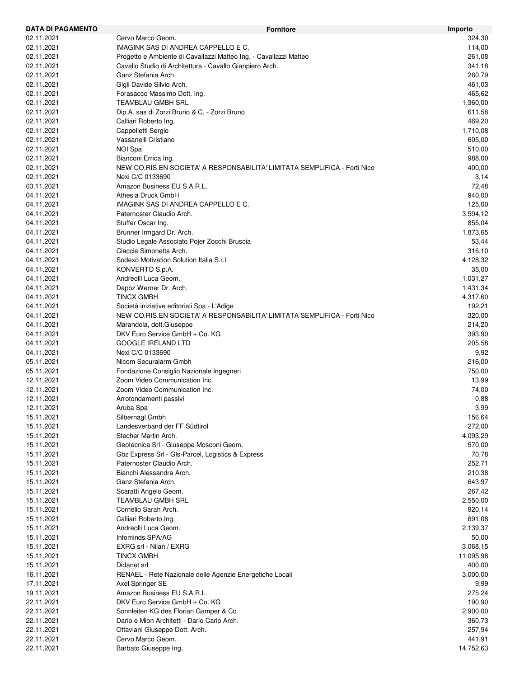| <b>DATA DI PAGAMENTO</b> | <b>Fornitore</b>                                                          | Importo   |
|--------------------------|---------------------------------------------------------------------------|-----------|
| 02.11.2021               | Cervo Marco Geom.                                                         | 324,30    |
| 02.11.2021               | IMAGINK SAS DI ANDREA CAPPELLO E C.                                       | 114,00    |
| 02.11.2021               | Progetto e Ambiente di Cavallazzi Matteo Ing. - Cavallazzi Matteo         | 261,08    |
| 02.11.2021               | Cavallo Studio di Architettura - Cavallo Gianpiero Arch.                  | 341,18    |
| 02.11.2021               | Ganz Stefania Arch.                                                       | 260,79    |
| 02.11.2021               | Gigli Davide Silvio Arch.                                                 | 461,03    |
| 02.11.2021               | Forasacco Massimo Dott. Ing.                                              | 465,62    |
| 02.11.2021               | TEAMBLAU GMBH SRL                                                         | 1.360,00  |
|                          |                                                                           |           |
| 02.11.2021               | Dip.A. sas di Zorzi Bruno & C. - Zorzi Bruno                              | 611,58    |
| 02.11.2021               | Calliari Roberto Ing.                                                     | 469,20    |
| 02.11.2021               | Cappelletti Sergio                                                        | 1.710,08  |
| 02.11.2021               | Vassanelli Cristiano                                                      | 605,00    |
| 02.11.2021               | NOI Spa                                                                   | 510,00    |
| 02.11.2021               | Bianconi Errica Ing.                                                      | 988,00    |
| 02.11.2021               | NEW CO.RIS.EN SOCIETA' A RESPONSABILITA' LIMITATA SEMPLIFICA - Forti Nico | 400,00    |
| 02.11.2021               | Nexi C/C 0133690                                                          | 3,14      |
| 03.11.2021               | Amazon Business EU S.A.R.L.                                               | 72,48     |
| 04.11.2021               | Athesia Druck GmbH                                                        | 940,00    |
| 04.11.2021               | IMAGINK SAS DI ANDREA CAPPELLO E C.                                       | 125,00    |
| 04.11.2021               | Paternoster Claudio Arch.                                                 | 3.594,12  |
| 04.11.2021               | Stuffer Oscar Ing.                                                        | 855,04    |
|                          | Brunner Irmgard Dr. Arch.                                                 | 1.873,65  |
| 04.11.2021               |                                                                           |           |
| 04.11.2021               | Studio Legale Associato Pojer Zocchi Bruscia                              | 53,44     |
| 04.11.2021               | Ciaccia Simonetta Arch.                                                   | 316,10    |
| 04.11.2021               | Sodexo Motivation Solution Italia S.r.l.                                  | 4.128,32  |
| 04.11.2021               | KONVERTO S.p.A.                                                           | 35,00     |
| 04.11.2021               | Andreolli Luca Geom.                                                      | 1.031,27  |
| 04.11.2021               | Dapoz Werner Dr. Arch.                                                    | 1.431,34  |
| 04.11.2021               | <b>TINCX GMBH</b>                                                         | 4.317,60  |
| 04.11.2021               | Società iniziative editoriali Spa - L'Adige                               | 192,21    |
| 04.11.2021               | NEW CO.RIS.EN SOCIETA' A RESPONSABILITA' LIMITATA SEMPLIFICA - Forti Nico | 320,00    |
| 04.11.2021               | Marandola, dott Giuseppe                                                  | 214,20    |
| 04.11.2021               | DKV Euro Service GmbH + Co. KG                                            | 393,90    |
| 04.11.2021               | <b>GOOGLE IRELAND LTD</b>                                                 | 205,58    |
| 04.11.2021               | Nexi C/C 0133690                                                          | 9,92      |
|                          | Nicom Securalarm Gmbh                                                     |           |
| 05.11.2021               |                                                                           | 216,00    |
| 05.11.2021               | Fondazione Consiglio Nazionale Ingegneri                                  | 750,00    |
| 12.11.2021               | Zoom Video Communication Inc.                                             | 13,99     |
| 12.11.2021               | Zoom Video Communication Inc.                                             | 74,00     |
| 12.11.2021               | Arrotondamenti passivi                                                    | 0,88      |
| 12.11.2021               | Aruba Spa                                                                 | 3,99      |
| 15.11.2021               | Silbernagl Gmbh                                                           | 156,64    |
| 15.11.2021               | Landesverband der FF Südtirol                                             | 272,00    |
| 15.11.2021               | Stecher Martin Arch.                                                      | 4.093,29  |
| 15.11.2021               | Geotecnica Srl - Giuseppe Mosconi Geom.                                   | 570,00    |
| 15.11.2021               | Gbz Express Srl - Gls-Parcel, Logistics & Express                         | 70,78     |
| 15.11.2021               | Paternoster Claudio Arch.                                                 | 252,71    |
| 15.11.2021               | Bianchi Alessandra Arch.                                                  | 210,38    |
|                          |                                                                           |           |
| 15.11.2021               | Ganz Stefania Arch.                                                       | 643,97    |
| 15.11.2021               | Scaratti Angelo Geom.                                                     | 267,42    |
| 15.11.2021               | TEAMBLAU GMBH SRL                                                         | 2.550,00  |
| 15.11.2021               | Cornelio Sarah Arch.                                                      | 920,14    |
| 15.11.2021               | Calliari Roberto Ing.                                                     | 691,08    |
| 15.11.2021               | Andreolli Luca Geom.                                                      | 2.139,37  |
| 15.11.2021               | Infominds SPA/AG                                                          | 50,00     |
| 15.11.2021               | EXRG srl - Nilan / EXRG                                                   | 3.068,15  |
| 15.11.2021               | <b>TINCX GMBH</b>                                                         | 11.095,98 |
| 15.11.2021               | Didanet srl                                                               | 400,00    |
| 16.11.2021               | RENAEL - Rete Nazionale delle Agenzie Energetiche Locali                  | 3.000,00  |
| 17.11.2021               | Axel Springer SE                                                          | 9,99      |
| 19.11.2021               | Amazon Business EU S.A.R.L.                                               | 275,24    |
|                          | DKV Euro Service GmbH + Co. KG                                            |           |
| 22.11.2021               |                                                                           | 190,90    |
| 22.11.2021               | Sonnleiten KG des Florian Gamper & Co                                     | 2.900,00  |
| 22.11.2021               | Dario e Mion Architetti - Dario Carlo Arch.                               | 360,73    |
| 22.11.2021               | Ottaviani Giuseppe Dott. Arch.                                            | 257,94    |
| 22.11.2021               | Cervo Marco Geom.                                                         | 441,91    |
| 22.11.2021               | Barbato Giuseppe Ing.                                                     | 14.752,63 |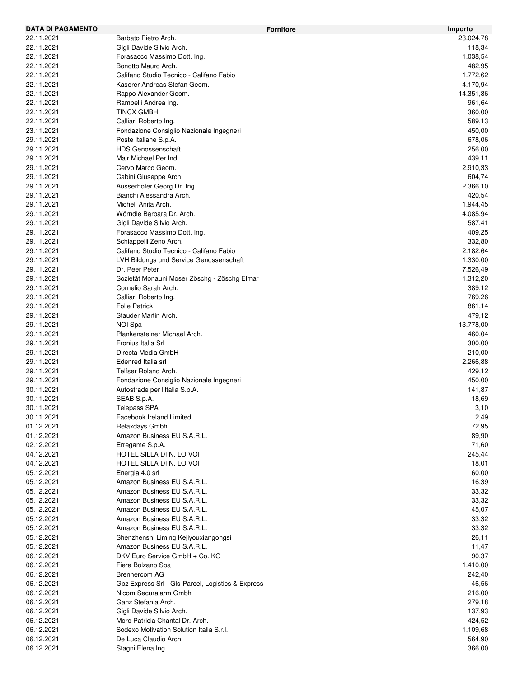| <b>DATA DI PAGAMENTO</b> |                                                   | <b>Fornitore</b> | Importo   |
|--------------------------|---------------------------------------------------|------------------|-----------|
| 22.11.2021               | Barbato Pietro Arch.                              |                  | 23.024,78 |
| 22.11.2021               | Gigli Davide Silvio Arch.                         |                  | 118,34    |
| 22.11.2021               | Forasacco Massimo Dott. Ing.                      |                  | 1.038,54  |
| 22.11.2021               | Bonotto Mauro Arch.                               |                  | 482,95    |
| 22.11.2021               | Califano Studio Tecnico - Califano Fabio          |                  | 1.772,62  |
| 22.11.2021               | Kaserer Andreas Stefan Geom.                      |                  | 4.170,94  |
| 22.11.2021               | Rappo Alexander Geom.                             |                  | 14.351,36 |
| 22.11.2021               | Rambelli Andrea Ing.                              |                  | 961,64    |
| 22.11.2021               | <b>TINCX GMBH</b>                                 |                  | 360,00    |
| 22.11.2021               | Calliari Roberto Ing.                             |                  | 589,13    |
| 23.11.2021               | Fondazione Consiglio Nazionale Ingegneri          |                  | 450,00    |
| 29.11.2021               | Poste Italiane S.p.A.                             |                  | 678,06    |
| 29.11.2021               | <b>HDS Genossenschaft</b>                         |                  | 256,00    |
| 29.11.2021               | Mair Michael Per.Ind.                             |                  | 439,11    |
| 29.11.2021               | Cervo Marco Geom.                                 |                  | 2.910,33  |
| 29.11.2021               | Cabini Giuseppe Arch.                             |                  | 604,74    |
| 29.11.2021               | Ausserhofer Georg Dr. Ing.                        |                  | 2.366,10  |
| 29.11.2021               | Bianchi Alessandra Arch.                          |                  | 420,54    |
| 29.11.2021               | Micheli Anita Arch.                               |                  | 1.944,45  |
| 29.11.2021               | Wörndle Barbara Dr. Arch.                         |                  | 4.085,94  |
| 29.11.2021               | Gigli Davide Silvio Arch.                         |                  | 587,41    |
| 29.11.2021               | Forasacco Massimo Dott. Ing.                      |                  | 409,25    |
| 29.11.2021               | Schiappelli Zeno Arch.                            |                  | 332,80    |
| 29.11.2021               | Califano Studio Tecnico - Califano Fabio          |                  | 2.182,64  |
| 29.11.2021               | LVH Bildungs und Service Genossenschaft           |                  | 1.330,00  |
| 29.11.2021               | Dr. Peer Peter                                    |                  | 7.526,49  |
| 29.11.2021               | Sozietät Monauni Moser Zöschg - Zöschg Elmar      |                  | 1.312,20  |
| 29.11.2021               | Cornelio Sarah Arch.                              |                  | 389,12    |
| 29.11.2021               | Calliari Roberto Ing.                             |                  | 769,26    |
| 29.11.2021               | <b>Folie Patrick</b>                              |                  | 861,14    |
| 29.11.2021               | Stauder Martin Arch.                              |                  | 479,12    |
| 29.11.2021               | NOI Spa                                           |                  | 13.778,00 |
| 29.11.2021               | Plankensteiner Michael Arch.                      |                  | 460,04    |
| 29.11.2021               | Fronius Italia Srl                                |                  | 300,00    |
| 29.11.2021               | Directa Media GmbH                                |                  | 210,00    |
| 29.11.2021               | Edenred Italia srl                                |                  | 2.266,88  |
| 29.11.2021               | Telfser Roland Arch.                              |                  | 429,12    |
| 29.11.2021               | Fondazione Consiglio Nazionale Ingegneri          |                  | 450,00    |
| 30.11.2021               | Autostrade per l'Italia S.p.A.                    |                  | 141,87    |
| 30.11.2021               | SEAB S.p.A.                                       |                  | 18,69     |
| 30.11.2021               | <b>Telepass SPA</b>                               |                  | 3,10      |
| 30.11.2021               | Facebook Ireland Limited                          |                  | 2,49      |
| 01.12.2021               | Relaxdays Gmbh                                    |                  | 72,95     |
| 01.12.2021               | Amazon Business EU S.A.R.L.                       |                  | 89,90     |
| 02.12.2021               | Erregame S.p.A.                                   |                  | 71,60     |
| 04.12.2021               | HOTEL SILLA DI N. LO VOI                          |                  | 245,44    |
| 04.12.2021               | HOTEL SILLA DI N. LO VOI                          |                  | 18,01     |
| 05.12.2021               | Energia 4.0 srl                                   |                  | 60,00     |
| 05.12.2021               | Amazon Business EU S.A.R.L.                       |                  | 16,39     |
| 05.12.2021               | Amazon Business EU S.A.R.L.                       |                  | 33,32     |
| 05.12.2021               | Amazon Business EU S.A.R.L.                       |                  | 33,32     |
| 05.12.2021               | Amazon Business EU S.A.R.L.                       |                  | 45,07     |
| 05.12.2021               | Amazon Business EU S.A.R.L.                       |                  | 33,32     |
| 05.12.2021               | Amazon Business EU S.A.R.L.                       |                  | 33,32     |
| 05.12.2021               | Shenzhenshi Liming Kejiyouxiangongsi              |                  | 26,11     |
| 05.12.2021               | Amazon Business EU S.A.R.L.                       |                  | 11,47     |
| 06.12.2021               | DKV Euro Service GmbH + Co. KG                    |                  | 90,37     |
| 06.12.2021               | Fiera Bolzano Spa                                 |                  | 1.410,00  |
| 06.12.2021               | Brennercom AG                                     |                  | 242,40    |
| 06.12.2021               | Gbz Express Srl - Gls-Parcel, Logistics & Express |                  | 46,56     |
| 06.12.2021               | Nicom Securalarm Gmbh                             |                  | 216,00    |
| 06.12.2021               | Ganz Stefania Arch.                               |                  | 279,18    |
| 06.12.2021               | Gigli Davide Silvio Arch.                         |                  | 137,93    |
| 06.12.2021               | Moro Patricia Chantal Dr. Arch.                   |                  | 424,52    |
| 06.12.2021               | Sodexo Motivation Solution Italia S.r.l.          |                  | 1.109,68  |
| 06.12.2021               | De Luca Claudio Arch.                             |                  | 564,90    |
| 06.12.2021               | Stagni Elena Ing.                                 |                  | 366,00    |
|                          |                                                   |                  |           |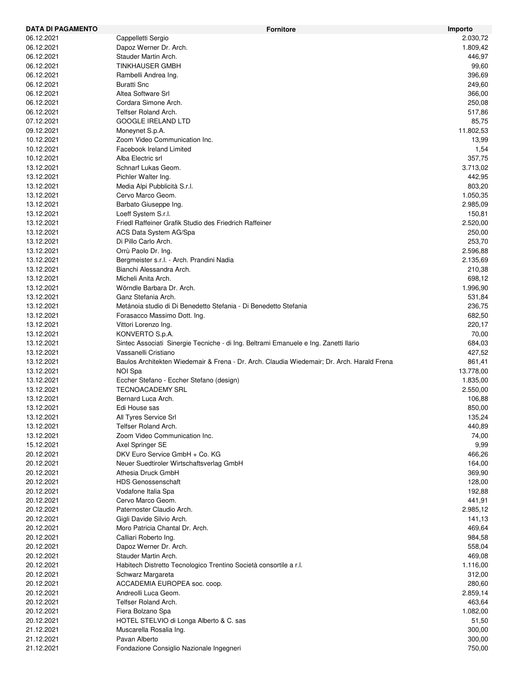| <b>DATA DI PAGAMENTO</b> | <b>Fornitore</b>                                                                                             | Importo          |
|--------------------------|--------------------------------------------------------------------------------------------------------------|------------------|
| 06.12.2021               | Cappelletti Sergio                                                                                           | 2.030,72         |
| 06.12.2021               | Dapoz Werner Dr. Arch.                                                                                       | 1.809,42         |
| 06.12.2021               | Stauder Martin Arch.                                                                                         | 446,97           |
| 06.12.2021               | TINKHAUSER GMBH                                                                                              | 99,60            |
| 06.12.2021               | Rambelli Andrea Ing.                                                                                         | 396,69           |
| 06.12.2021               | <b>Buratti Snc</b>                                                                                           | 249,60           |
| 06.12.2021               | Altea Software Srl                                                                                           | 366,00           |
| 06.12.2021               | Cordara Simone Arch.                                                                                         | 250,08           |
| 06.12.2021               | <b>Telfser Roland Arch.</b>                                                                                  | 517,86           |
| 07.12.2021               | <b>GOOGLE IRELAND LTD</b>                                                                                    | 85,75            |
| 09.12.2021               | Moneynet S.p.A.                                                                                              | 11.802,53        |
| 10.12.2021               | Zoom Video Communication Inc.                                                                                | 13,99            |
| 10.12.2021               | <b>Facebook Ireland Limited</b>                                                                              | 1,54             |
| 10.12.2021               | Alba Electric srl                                                                                            | 357,75           |
| 13.12.2021               | Schnarf Lukas Geom.                                                                                          | 3.713,02         |
| 13.12.2021               | Pichler Walter Ing.                                                                                          | 442,95           |
| 13.12.2021               | Media Alpi Pubblicità S.r.l.                                                                                 | 803,20           |
| 13.12.2021               | Cervo Marco Geom.                                                                                            | 1.050,35         |
| 13.12.2021               | Barbato Giuseppe Ing.                                                                                        | 2.985,09         |
| 13.12.2021               | Loeff System S.r.l.                                                                                          | 150,81           |
| 13.12.2021               | Friedl Raffeiner Grafik Studio des Friedrich Raffeiner                                                       | 2.520,00         |
| 13.12.2021               | ACS Data System AG/Spa                                                                                       | 250,00           |
| 13.12.2021               | Di Pillo Carlo Arch.                                                                                         | 253,70           |
| 13.12.2021               | Orrù Paolo Dr. Ing.                                                                                          | 2.596,88         |
| 13.12.2021               | Bergmeister s.r.l. - Arch. Prandini Nadia                                                                    | 2.135,69         |
| 13.12.2021               | Bianchi Alessandra Arch.                                                                                     | 210,38           |
| 13.12.2021               | Micheli Anita Arch.                                                                                          | 698,12           |
| 13.12.2021               | Wörndle Barbara Dr. Arch.                                                                                    | 1.996,90         |
| 13.12.2021               | Ganz Stefania Arch.                                                                                          | 531,84           |
| 13.12.2021               | Metánoia studio di Di Benedetto Stefania - Di Benedetto Stefania                                             | 236,75           |
| 13.12.2021               | Forasacco Massimo Dott. Ing.                                                                                 | 682,50           |
| 13.12.2021               | Vittori Lorenzo Ing.                                                                                         | 220,17           |
| 13.12.2021               | KONVERTO S.p.A.                                                                                              | 70,00            |
| 13.12.2021               | Sintec Associati Sinergie Tecniche - di Ing. Beltrami Emanuele e Ing. Zanetti Ilario<br>Vassanelli Cristiano | 684,03           |
| 13.12.2021<br>13.12.2021 | Baulos Architekten Wiedemair & Frena - Dr. Arch. Claudia Wiedemair; Dr. Arch. Harald Frena                   | 427,52<br>861,41 |
| 13.12.2021               | <b>NOI Spa</b>                                                                                               | 13.778,00        |
| 13.12.2021               | Eccher Stefano - Eccher Stefano (design)                                                                     | 1.835,00         |
| 13.12.2021               | <b>TECNOACADEMY SRL</b>                                                                                      | 2.550,00         |
| 13.12.2021               | Bernard Luca Arch.                                                                                           | 106,88           |
| 13.12.2021               | Edi House sas                                                                                                | 850,00           |
| 13.12.2021               | All Tyres Service Srl                                                                                        | 135,24           |
| 13.12.2021               | Telfser Roland Arch.                                                                                         | 440,89           |
| 13.12.2021               | Zoom Video Communication Inc.                                                                                | 74,00            |
| 15.12.2021               | Axel Springer SE                                                                                             | 9,99             |
| 20.12.2021               | DKV Euro Service GmbH + Co. KG                                                                               | 466,26           |
| 20.12.2021               | Neuer Suedtiroler Wirtschaftsverlag GmbH                                                                     | 164,00           |
| 20.12.2021               | Athesia Druck GmbH                                                                                           | 369,90           |
| 20.12.2021               | <b>HDS Genossenschaft</b>                                                                                    | 128,00           |
| 20.12.2021               | Vodafone Italia Spa                                                                                          | 192,88           |
| 20.12.2021               | Cervo Marco Geom.                                                                                            | 441,91           |
| 20.12.2021               | Paternoster Claudio Arch.                                                                                    | 2.985,12         |
| 20.12.2021               | Gigli Davide Silvio Arch.                                                                                    | 141,13           |
| 20.12.2021               | Moro Patricia Chantal Dr. Arch.                                                                              | 469,64           |
| 20.12.2021               | Calliari Roberto Ing.                                                                                        | 984,58           |
| 20.12.2021               | Dapoz Werner Dr. Arch.                                                                                       | 558,04           |
| 20.12.2021               | Stauder Martin Arch.                                                                                         | 469,08           |
| 20.12.2021               | Habitech Distretto Tecnologico Trentino Società consortile a r.l.                                            | 1.116,00         |
| 20.12.2021               | Schwarz Margareta                                                                                            | 312,00           |
| 20.12.2021               | ACCADEMIA EUROPEA soc. coop.                                                                                 | 280,60           |
| 20.12.2021               | Andreolli Luca Geom.                                                                                         | 2.859,14         |
| 20.12.2021               | Telfser Roland Arch.                                                                                         | 463,64           |
| 20.12.2021               | Fiera Bolzano Spa                                                                                            | 1.082,00         |
| 20.12.2021               | HOTEL STELVIO di Longa Alberto & C. sas                                                                      | 51,50            |
| 21.12.2021               | Muscarella Rosalia Ing.                                                                                      | 300,00           |
| 21.12.2021               | Pavan Alberto                                                                                                | 300,00           |
| 21.12.2021               | Fondazione Consiglio Nazionale Ingegneri                                                                     | 750,00           |